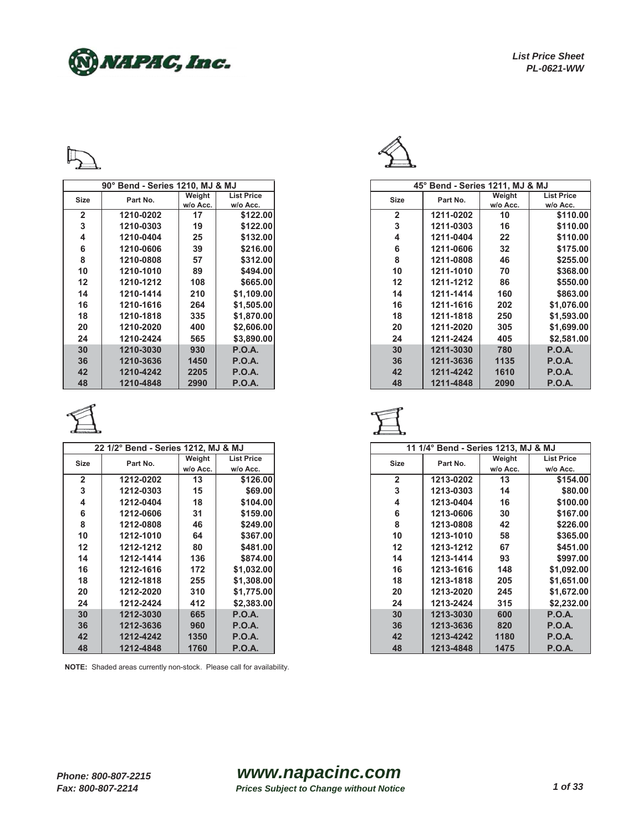NNAPAC, Inc.



|                   | 90° Bend - Series 1210, MJ & MJ |          |                   |              | $45^\circ$ Bend - S |
|-------------------|---------------------------------|----------|-------------------|--------------|---------------------|
| Size              | Part No.                        | Weight   | <b>List Price</b> | <b>Size</b>  | Part No.            |
|                   |                                 | w/o Acc. | w/o Acc.          |              |                     |
| $\overline{2}$    | 1210-0202                       | 17       | \$122.00          | $\mathbf{2}$ | 1211-020            |
| 3                 | 1210-0303                       | 19       | \$122.00          | 3            | 1211-030            |
| 4                 | 1210-0404                       | 25       | \$132.00          | 4            | 1211-040            |
| 6                 | 1210-0606                       | 39       | \$216.00          | 6            | 1211-060            |
| 8                 | 1210-0808                       | 57       | \$312.00          | 8            | 1211-080            |
| 10                | 1210-1010                       | 89       | \$494.00          | 10           | 1211-101            |
| $12 \overline{ }$ | 1210-1212                       | 108      | \$665.00          | 12           | 1211-121            |
| 14                | 1210-1414                       | 210      | \$1,109.00        | 14           | 1211-141            |
| 16                | 1210-1616                       | 264      | \$1,505.00        | 16           | 1211-161            |
| 18                | 1210-1818                       | 335      | \$1,870.00        | 18           | 1211-181            |
| 20                | 1210-2020                       | 400      | \$2,606.00        | 20           | 1211-202            |
| 24                | 1210-2424                       | 565      | \$3,890.00        | 24           | 1211-242            |
| 30                | 1210-3030                       | 930      | <b>P.O.A.</b>     | 30           | 1211-303            |
| 36                | 1210-3636                       | 1450     | <b>P.O.A.</b>     | 36           | 1211-363            |
| 42                | 1210-4242                       | 2205     | <b>P.O.A.</b>     | 42           | 1211-424            |
| 48                | 1210-4848                       | 2990     | <b>P.O.A.</b>     | 48           | 1211-484            |



|                | 22 1/2° Bend - Series 1212, MJ & MJ |          |                   | 11 1/4° Bend - |
|----------------|-------------------------------------|----------|-------------------|----------------|
| Size           | Part No.                            | Weight   | <b>List Price</b> | <b>Size</b>    |
|                |                                     | w/o Acc. | w/o Acc.          |                |
| $\overline{2}$ | 1212-0202                           | 13       | \$126.00          | $\overline{2}$ |
| 3              | 1212-0303                           | 15       | \$69.00           | 3              |
| 4              | 1212-0404                           | 18       | \$104.00          | 4              |
| 6              | 1212-0606                           | 31       | \$159.00          | 6              |
| 8              | 1212-0808                           | 46       | \$249.00          | 8              |
| 10             | 1212-1010                           | 64       | \$367.00          | 10             |
| 12             | 1212-1212                           | 80       | \$481.00          | 12             |
| 14             | 1212-1414                           | 136      | \$874.00          | 14             |
| 16             | 1212-1616                           | 172      | \$1,032.00        | 16             |
| 18             | 1212-1818                           | 255      | \$1,308.00        | 18             |
| 20             | 1212-2020                           | 310      | \$1,775.00        | 20             |
| 24             | 1212-2424                           | 412      | \$2,383.00        | 24             |
| 30             | 1212-3030                           | 665      | <b>P.O.A.</b>     | 30             |
| 36             | 1212-3636                           | 960      | <b>P.O.A.</b>     | 36             |
| 42             | 1212-4242                           | 1350     | P.O.A.            | 42             |
| 48             | 1212-4848                           | 1760     | <b>P.O.A.</b>     | 48             |



|                | 90° Bend - Series 1210, MJ & MJ |          |                   |              | 45° Bend - Series 1211, MJ & MJ |          |                   |
|----------------|---------------------------------|----------|-------------------|--------------|---------------------------------|----------|-------------------|
| Size           | Part No.                        | Weight   | <b>List Price</b> | <b>Size</b>  | Part No.                        | Weight   | <b>List Price</b> |
|                |                                 | w/o Acc. | w/o Acc.          |              |                                 | w/o Acc. | w/o Acc.          |
| $\overline{2}$ | 1210-0202                       | 17       | \$122.00          | $\mathbf{2}$ | 1211-0202                       | 10       | \$110.00          |
| 3              | 1210-0303                       | 19       | \$122.00          | 3            | 1211-0303                       | 16       | \$110.00          |
| 4              | 1210-0404                       | 25       | \$132.00          | 4            | 1211-0404                       | 22       | \$110.00          |
| 6              | 1210-0606                       | 39       | \$216.00          | 6            | 1211-0606                       | 32       | \$175.00          |
| 8              | 1210-0808                       | 57       | \$312.00          | 8            | 1211-0808                       | 46       | \$255.00          |
| 10             | 1210-1010                       | 89       | \$494.00          | 10           | 1211-1010                       | 70       | \$368.00          |
| 12             | 1210-1212                       | 108      | \$665.00          | 12           | 1211-1212                       | 86       | \$550.00          |
| 14             | 1210-1414                       | 210      | \$1,109.00        | 14           | 1211-1414                       | 160      | \$863.00          |
| 16             | 1210-1616                       | 264      | \$1,505.00        | 16           | 1211-1616                       | 202      | \$1,076.00        |
| 18             | 1210-1818                       | 335      | \$1,870.00        | 18           | 1211-1818                       | 250      | \$1,593.00        |
| 20             | 1210-2020                       | 400      | \$2,606.00        | 20           | 1211-2020                       | 305      | \$1,699.00        |
| 24             | 1210-2424                       | 565      | \$3,890.00        | 24           | 1211-2424                       | 405      | \$2,581.00        |
| 30             | 1210-3030                       | 930      | P.O.A.            | 30           | 1211-3030                       | 780      | <b>P.O.A.</b>     |
| 36             | 1210-3636                       | 1450     | <b>P.O.A.</b>     | 36           | 1211-3636                       | 1135     | <b>P.O.A.</b>     |
| 42             | 1210-4242                       | 2205     | P.O.A.            | 42           | 1211-4242                       | 1610     | <b>P.O.A.</b>     |
| 48             | 1210-4848                       | 2990     | <b>P.O.A.</b>     | 48           | 1211-4848                       | 2090     | <b>P.O.A.</b>     |



| 22 1/2° Bend - Series 1212, MJ & MJ |           |          | 11 1/4° Bend - Series 1213, MJ & MJ |                |           |          |                   |
|-------------------------------------|-----------|----------|-------------------------------------|----------------|-----------|----------|-------------------|
| Size                                | Part No.  | Weight   | <b>List Price</b>                   | Size           | Part No.  | Weight   | <b>List Price</b> |
|                                     |           | w/o Acc. | w/o Acc.                            |                |           | w/o Acc. | w/o Acc.          |
| $\overline{2}$                      | 1212-0202 | 13       | \$126.00                            | $\overline{2}$ | 1213-0202 | 13       | \$154.00          |
| 3                                   | 1212-0303 | 15       | \$69.00                             | 3              | 1213-0303 | 14       | \$80.00           |
| 4                                   | 1212-0404 | 18       | \$104.00                            | 4              | 1213-0404 | 16       | \$100.00          |
| 6                                   | 1212-0606 | 31       | \$159.00                            | 6              | 1213-0606 | 30       | \$167.00          |
| 8                                   | 1212-0808 | 46       | \$249.00                            | 8              | 1213-0808 | 42       | \$226.00          |
| 10                                  | 1212-1010 | 64       | \$367.00                            | 10             | 1213-1010 | 58       | \$365.00          |
| 12                                  | 1212-1212 | 80       | \$481.00                            | 12             | 1213-1212 | 67       | \$451.00          |
| 14                                  | 1212-1414 | 136      | \$874.00                            | 14             | 1213-1414 | 93       | \$997.00          |
| 16                                  | 1212-1616 | 172      | \$1,032.00                          | 16             | 1213-1616 | 148      | \$1,092.00        |
| 18                                  | 1212-1818 | 255      | \$1,308.00                          | 18             | 1213-1818 | 205      | \$1,651.00        |
| 20                                  | 1212-2020 | 310      | \$1,775.00                          | 20             | 1213-2020 | 245      | \$1,672.00        |
| 24                                  | 1212-2424 | 412      | \$2,383.00                          | 24             | 1213-2424 | 315      | \$2,232.00        |
| 30                                  | 1212-3030 | 665      | P.O.A.                              | 30             | 1213-3030 | 600      | <b>P.O.A.</b>     |
| 36                                  | 1212-3636 | 960      | <b>P.O.A.</b>                       | 36             | 1213-3636 | 820      | <b>P.O.A.</b>     |
| 42                                  | 1212-4242 | 1350     | <b>P.O.A.</b>                       | 42             | 1213-4242 | 1180     | <b>P.O.A.</b>     |
| 48                                  | 1212-4848 | 1760     | <b>P.O.A.</b>                       | 48             | 1213-4848 | 1475     | <b>P.O.A.</b>     |
|                                     |           |          |                                     |                |           |          |                   |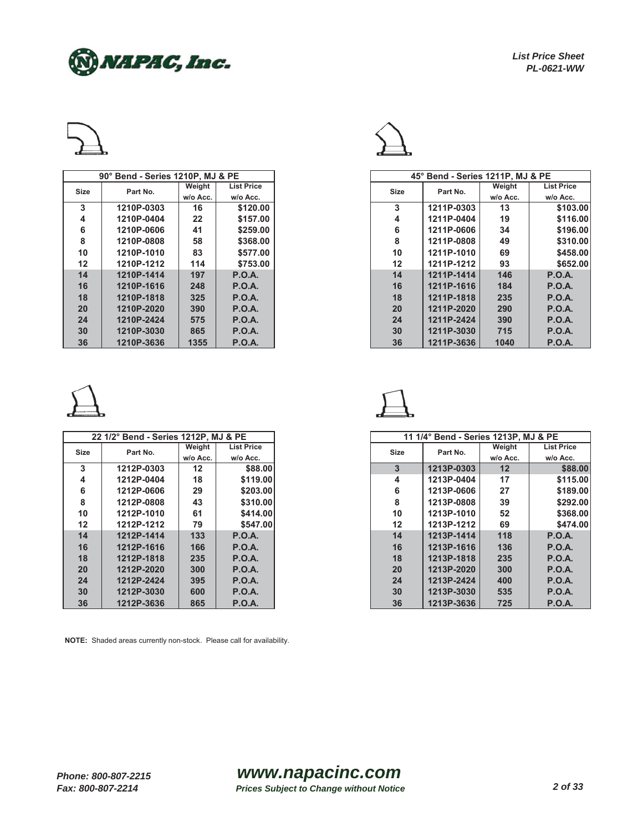



|             | 90° Bend - Series 1210P, MJ & PE |          |                   |             |
|-------------|----------------------------------|----------|-------------------|-------------|
| <b>Size</b> | Part No.                         | Weight   | <b>List Price</b> | <b>Size</b> |
|             |                                  | w/o Acc. | w/o Acc.          |             |
| 3           | 1210P-0303                       | 16       | \$120.00          | 3           |
| 4           | 1210P-0404                       | 22       | \$157.00          | 4           |
| 6           | 1210P-0606                       | 41       | \$259.00          | 6           |
| 8           | 1210P-0808                       | 58       | \$368.00          | 8           |
| 10          | 1210P-1010                       | 83       | \$577.00          | 10          |
| 12          | 1210P-1212                       | 114      | \$753.00          | 12          |
| 14          | 1210P-1414                       | 197      | P.O.A.            | 14          |
| 16          | 1210P-1616                       | 248      | P.O.A.            | 16          |
| 18          | 1210P-1818                       | 325      | P.O.A.            | 18          |
| 20          | 1210P-2020                       | 390      | P.O.A.            | 20          |
| 24          | 1210P-2424                       | 575      | P.O.A.            | 24          |
| 30          | 1210P-3030                       | 865      | P.O.A.            | 30          |
| 36          | 1210P-3636                       | 1355     | <b>P.O.A.</b>     | 36          |



|             | 22 1/2° Bend - Series 1212P. MJ & PE |          |                   |             | 11 1/4° Bend - \ |
|-------------|--------------------------------------|----------|-------------------|-------------|------------------|
| <b>Size</b> | Part No.                             | Weight   | <b>List Price</b> | <b>Size</b> | Part No.         |
|             |                                      | w/o Acc. | w/o Acc.          |             |                  |
| 3           | 1212P-0303                           | 12       | \$88.00           | 3           | 1213P-03         |
| 4           | 1212P-0404                           | 18       | \$119.00          | 4           | 1213P-04         |
| 6           | 1212P-0606                           | 29       | \$203.00          | 6           | 1213P-06         |
| 8           | 1212P-0808                           | 43       | \$310.00          | 8           | 1213P-08         |
| 10          | 1212P-1010                           | 61       | \$414.00          | 10          | 1213P-10         |
| 12          | 1212P-1212                           | 79       | \$547.00          | 12          | 1213P-12         |
| 14          | 1212P-1414                           | 133      | P.O.A.            | 14          | 1213P-14         |
| 16          | 1212P-1616                           | 166      | P.O.A.            | 16          | 1213P-16         |
| 18          | 1212P-1818                           | 235      | P.O.A.            | 18          | 1213P-18         |
| 20          | 1212P-2020                           | 300      | P.O.A.            | 20          | 1213P-20         |
| 24          | 1212P-2424                           | 395      | P.O.A.            | 24          | 1213P-24         |
| 30          | 1212P-3030                           | 600      | P.O.A.            | 30          | 1213P-30         |
| 36          | 1212P-3636                           | 865      | <b>P.O.A.</b>     | 36          | 1213P-36         |



|      | 90° Bend - Series 1210P, MJ & PE |          |                   |
|------|----------------------------------|----------|-------------------|
|      |                                  | Weight   | <b>List Price</b> |
| Size | Part No.                         | w/o Acc. | w/o Acc.          |
| 3    | 1210P-0303                       | 16       | \$120.00          |
| 4    | 1210P-0404                       | 22       | \$157.00          |
| 6    | 1210P-0606                       | 41       | \$259.00          |
| 8    | 1210P-0808                       | 58       | \$368.00          |
| 10   | 1210P-1010                       | 83       | \$577.00          |
| 12   | 1210P-1212                       | 114      | \$753.00          |
| 14   | 1210P-1414                       | 197      | P.O.A.            |
| 16   | 1210P-1616                       | 248      | P.O.A.            |
| 18   | 1210P-1818                       | 325      | <b>P.O.A.</b>     |
| 20   | 1210P-2020                       | 390      | P.O.A.            |
| 24   | 1210P-2424                       | 575      | <b>P.O.A.</b>     |
| 30   | 1210P-3030                       | 865      | P.O.A.            |
| 36   | 1210P-3636                       | 1355     | P.O.A.            |



|                 | 22 1/2° Bend - Series 1212P, MJ & PE |          |                   |             | 11 1/4° Bend - Series 1213P. MJ & PE |                   |                   |
|-----------------|--------------------------------------|----------|-------------------|-------------|--------------------------------------|-------------------|-------------------|
| Size            | Part No.                             | Weight   | <b>List Price</b> | <b>Size</b> | Part No.                             | Weight            | <b>List Price</b> |
|                 |                                      | w/o Acc. | w/o Acc.          |             |                                      | w/o Acc.          | w/o Acc.          |
| 3               | 1212P-0303                           | 12       | \$88,00           | 3           | 1213P-0303                           | $12 \overline{ }$ | \$88.00           |
| 4               | 1212P-0404                           | 18       | \$119.00          | 4           | 1213P-0404                           | 17                | \$115.00          |
| 6               | 1212P-0606                           | 29       | \$203.00          | 6           | 1213P-0606                           | 27                | \$189.00          |
| 8               | 1212P-0808                           | 43       | \$310.00          | 8           | 1213P-0808                           | 39                | \$292.00          |
| 10              | 1212P-1010                           | 61       | \$414.00          | 10          | 1213P-1010                           | 52                | \$368.00          |
| 12 <sub>2</sub> | 1212P-1212                           | 79       | \$547,00          | 12          | 1213P-1212                           | 69                | \$474.00          |
| 14              | 1212P-1414                           | 133      | P.O.A.            | 14          | 1213P-1414                           | 118               | <b>P.O.A.</b>     |
| 16              | 1212P-1616                           | 166      | P.O.A.            | 16          | 1213P-1616                           | 136               | <b>P.O.A.</b>     |
| 18              | 1212P-1818                           | 235      | P.O.A.            | 18          | 1213P-1818                           | 235               | <b>P.O.A.</b>     |
| 20              | 1212P-2020                           | 300      | P.O.A.            | 20          | 1213P-2020                           | 300               | P.O.A.            |
| 24              | 1212P-2424                           | 395      | P.O.A.            | 24          | 1213P-2424                           | 400               | <b>P.O.A.</b>     |
| 30              | 1212P-3030                           | 600      | <b>P.O.A.</b>     | 30          | 1213P-3030                           | 535               | <b>P.O.A.</b>     |
| 36              | 1212P-3636                           | 865      | <b>P.O.A.</b>     | 36          | 1213P-3636                           | 725               | <b>P.O.A.</b>     |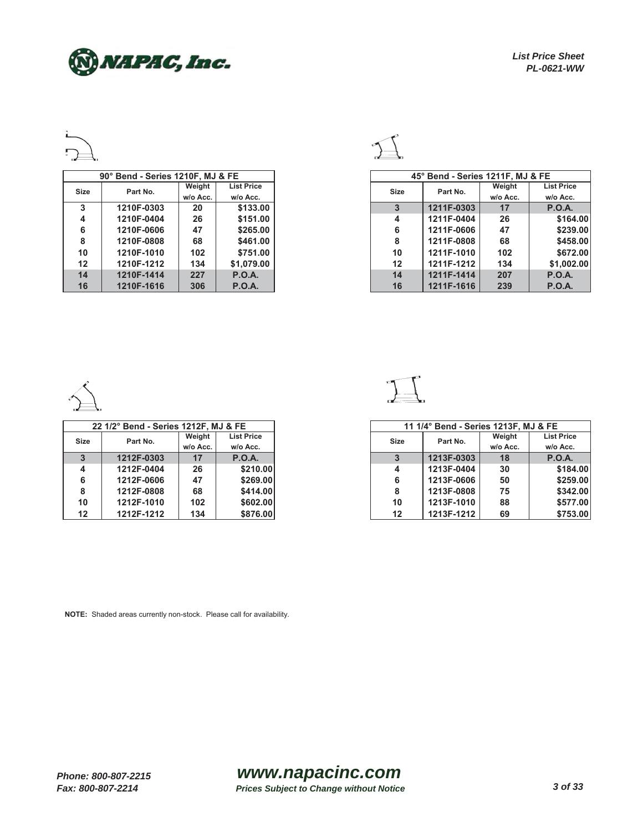NAPAC, Inc.



|                   | 90° Bend - Series 1210F, MJ & FE |          |                   |
|-------------------|----------------------------------|----------|-------------------|
| Size              | Part No.                         | Weight   | <b>List Price</b> |
|                   |                                  | w/o Acc. | w/o Acc.          |
| 3                 | 1210F-0303                       | 20       | \$133.00          |
| 4                 | 1210F-0404                       | 26       | \$151.00          |
| 6                 | 1210F-0606                       | 47       | \$265.00          |
| 8                 | 1210F-0808                       | 68       | \$461.00          |
| 10                | 1210F-1010                       | 102      | \$751.00          |
| $12 \overline{ }$ | 1210F-1212                       | 134      | \$1,079,00        |
| 14                | 1210F-1414                       | 227      | <b>P.O.A.</b>     |
| 16                | 1210F-1616                       | 306      | P.O.A.            |



|              | 90° Bend - Series 1210F, MJ & FE |          |                   |
|--------------|----------------------------------|----------|-------------------|
| Size         | Part No.                         | Weight   | <b>List Price</b> |
|              |                                  | w/o Acc. | w/o Acc.          |
| $\mathbf{3}$ | 1210F-0303                       | 20       | \$133.00          |
| 4            | 1210F-0404                       | 26       | \$151.00          |
| 6            | 1210F-0606                       | 47       | \$265.00          |
| 8            | 1210F-0808                       | 68       | \$461.00          |
| 10           | 1210F-1010                       | 102      | \$751.00          |
| 12           | 1210F-1212                       | 134      | \$1,079.00        |
| 14           | 1210F-1414                       | 227      | <b>P.O.A.</b>     |
| 16           | 1210F-1616                       | 306      | <b>P.O.A.</b>     |



|             | 22 1/2° Bend - Series 1212F, MJ & FE |          |                   |
|-------------|--------------------------------------|----------|-------------------|
| <b>Size</b> | Part No.                             | Weight   | <b>List Price</b> |
|             |                                      | w/o Acc. | w/o Acc.          |
| 3           | 1212F-0303                           | 17       | P.O.A.            |
| 4           | 1212F-0404                           | 26       | \$210.00          |
| 6           | 1212F-0606                           | 47       | \$269.00          |
| 8           | 1212F-0808                           | 68       | \$414.00          |
| 10          | 1212F-1010                           | 102      | \$602.00          |
| 12          | 1212F-1212                           | 134      | \$876,00          |



|              | 22 1/2° Bend - Series 1212F, MJ & FE |          |                   |      | 11 1/4° Bend - Series 1213F, MJ & FE |          |                   |
|--------------|--------------------------------------|----------|-------------------|------|--------------------------------------|----------|-------------------|
| Size         | Part No.                             | Weight   | <b>List Price</b> | Size | Part No.                             | Weight   | <b>List Price</b> |
|              |                                      | w/o Acc. | w/o Acc.          |      |                                      | w/o Acc. | w/o Acc.          |
| $\mathbf{3}$ | 1212F-0303                           | 17       | P.O.A.            |      | 1213F-0303                           | 18       | P.O.A.            |
| 4            | 1212F-0404                           | 26       | \$210.00          | 4    | 1213F-0404                           | 30       | \$184.00          |
| 6            | 1212F-0606                           | 47       | \$269.00          | 6    | 1213F-0606                           | 50       | \$259.00          |
| 8            | 1212F-0808                           | 68       | \$414.00          | 8    | 1213F-0808                           | 75       | \$342.00          |
| 10           | 1212F-1010                           | 102      | \$602.00          | 10   | 1213F-1010                           | 88       | \$577.00          |
| 12           | 1212F-1212                           | 134      | \$876.00          | 12   | 1213F-1212                           | 69       | \$753.00          |

**NOTE:** Shaded areas currently non-stock. Please call for availability.

*www.napacinc.com Prices Subject to Change without Notice 3 of 33*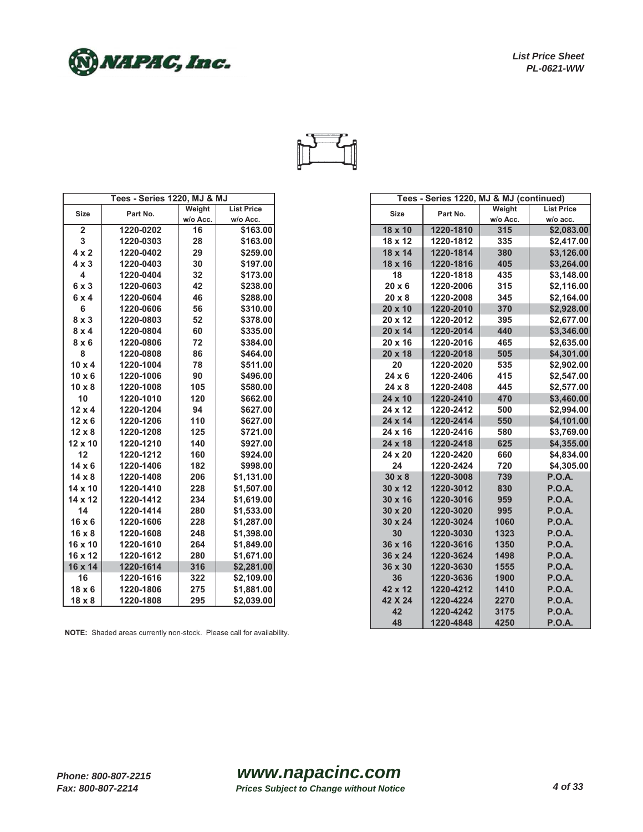



|                         | <b>Tees - Series 1220, MJ &amp; MJ</b> |          |                   |                | Tees - Series 1220, MJ & MJ (continued) |          |                  |
|-------------------------|----------------------------------------|----------|-------------------|----------------|-----------------------------------------|----------|------------------|
| <b>Size</b>             | Part No.                               | Weight   | <b>List Price</b> | <b>Size</b>    | Part No.                                | Weight   | <b>List Pric</b> |
|                         |                                        | w/o Acc. | w/o Acc.          |                |                                         | w/o Acc. | w/o acc          |
| $\overline{2}$          | 1220-0202                              | 16       | \$163.00          |                | 1220-1810<br>18 x 10                    | 315      | \$2,08           |
| $\mathbf{3}$            | 1220-0303                              | 28       | \$163.00          |                | 18 x 12<br>1220-1812                    | 335      | \$2,41           |
| $4 \times 2$            | 1220-0402                              | 29       | \$259.00          |                | 18 x 14<br>1220-1814                    | 380      | \$3,12           |
| $4 \times 3$            | 1220-0403                              | 30       | \$197.00          | 18 x 16        | 1220-1816                               | 405      | \$3,26           |
| $\overline{\mathbf{4}}$ | 1220-0404                              | 32       | \$173.00          | 18             | 1220-1818                               | 435      | \$3,14           |
| 6x3                     | 1220-0603                              | 42       | \$238.00          | $20 \times 6$  | 1220-2006                               | 315      | \$2,11           |
| 6x4                     | 1220-0604                              | 46       | \$288.00          | $20 \times 8$  | 1220-2008                               | 345      | \$2,16           |
| 6                       | 1220-0606                              | 56       | \$310.00          | 20 x 10        | 1220-2010                               | 370      | \$2,92           |
| $8 \times 3$            | 1220-0803                              | 52       | \$378.00          | 20 x 12        | 1220-2012                               | 395      | \$2,67           |
| $8 \times 4$            | 1220-0804                              | 60       | \$335.00          |                | 20 x 14<br>1220-2014                    | 440      | \$3,34           |
| $8 \times 6$            | 1220-0806                              | 72       | \$384.00          | $20 \times 16$ | 1220-2016                               | 465      | \$2,63           |
| 8                       | 1220-0808                              | 86       | \$464.00          | 20 x 18        | 1220-2018                               | 505      | \$4,30           |
| $10 \times 4$           | 1220-1004                              | 78       | \$511.00          | 20             | 1220-2020                               | 535      | \$2,90           |
| $10 \times 6$           | 1220-1006                              | 90       | \$496.00          | $24 \times 6$  | 1220-2406                               | 415      | \$2,54           |
| $10 \times 8$           | 1220-1008                              | 105      | \$580.00          | $24 \times 8$  | 1220-2408                               | 445      | \$2,57           |
| 10                      | 1220-1010                              | 120      | \$662.00          | 24 x 10        | 1220-2410                               | 470      | \$3,46           |
| $12 \times 4$           | 1220-1204                              | 94       | \$627.00          | 24 x 12        | 1220-2412                               | 500      | \$2,99           |
| $12 \times 6$           | 1220-1206                              | 110      | \$627.00          |                | 24 x 14<br>1220-2414                    | 550      | \$4,10           |
| $12 \times 8$           | 1220-1208                              | 125      | \$721.00          | 24 x 16        | 1220-2416                               | 580      | \$3,76           |
| $12 \times 10$          | 1220-1210                              | 140      | \$927.00          | 24 x 18        | 1220-2418                               | 625      | \$4,35           |
| 12                      | 1220-1212                              | 160      | \$924.00          | 24 x 20        | 1220-2420                               | 660      | \$4,83           |
| $14 \times 6$           | 1220-1406                              | 182      | \$998.00          |                | 24<br>1220-2424                         | 720      | \$4,30           |
| $14 \times 8$           | 1220-1408                              | 206      | \$1,131.00        | $30 \times 8$  | 1220-3008                               | 739      | <b>P.O.A.</b>    |
| $14 \times 10$          | 1220-1410                              | 228      | \$1,507.00        |                | 1220-3012<br>$30 \times 12$             | 830      | <b>P.O.A.</b>    |
| 14 x 12                 | 1220-1412                              | 234      | \$1,619.00        | $30 \times 16$ | 1220-3016                               | 959      | <b>P.O.A.</b>    |
| 14                      | 1220-1414                              | 280      | \$1,533.00        | 30 x 20        | 1220-3020                               | 995      | <b>P.O.A.</b>    |
| $16 \times 6$           | 1220-1606                              | 228      | \$1,287.00        | 30 x 24        | 1220-3024                               | 1060     | <b>P.O.A.</b>    |
| $16 \times 8$           | 1220-1608                              | 248      | \$1,398.00        |                | 30<br>1220-3030                         | 1323     | <b>P.O.A.</b>    |
| $16 \times 10$          | 1220-1610                              | 264      | \$1,849.00        | 36 x 16        | 1220-3616                               | 1350     | <b>P.O.A.</b>    |
| 16 x 12                 | 1220-1612                              | 280      | \$1,671.00        | 36 x 24        | 1220-3624                               | 1498     | <b>P.O.A.</b>    |
| 16 x 14                 | 1220-1614                              | 316      | \$2,281.00        |                | 36 x 30<br>1220-3630                    | 1555     | <b>P.O.A.</b>    |
| 16                      | 1220-1616                              | 322      | \$2,109.00        | 36             | 1220-3636                               | 1900     | <b>P.O.A.</b>    |
| $18 \times 6$           | 1220-1806                              | 275      | \$1,881.00        | 42 x 12        | 1220-4212                               | 1410     | <b>P.O.A.</b>    |
| $18 \times 8$           | 1220-1808                              | 295      | \$2,039.00        | 42 X 24        | 1220-4224                               | 2270     | <b>P.O.A.</b>    |

|               | <b>Tees - Series 1220, MJ &amp; MJ</b> |          |                   |                |           | Tees - Series 1220, MJ & MJ (continued) |                   |
|---------------|----------------------------------------|----------|-------------------|----------------|-----------|-----------------------------------------|-------------------|
| <b>Size</b>   | Part No.                               | Weight   | <b>List Price</b> | <b>Size</b>    | Part No.  | Weight                                  | <b>List Price</b> |
|               |                                        | w/o Acc. | w/o Acc.          |                |           | w/o Acc.                                | w/o acc.          |
| $\mathbf 2$   | 1220-0202                              | 16       | \$163.00          | 18 x 10        | 1220-1810 | 315                                     | \$2,083.00        |
| 3             | 1220-0303                              | 28       | \$163.00          | 18 x 12        | 1220-1812 | 335                                     | \$2,417.00        |
| $4 \times 2$  | 1220-0402                              | 29       | \$259.00          | 18 x 14        | 1220-1814 | 380                                     | \$3,126.00        |
| $4 \times 3$  | 1220-0403                              | 30       | \$197.00          | 18 x 16        | 1220-1816 | 405                                     | \$3,264.00        |
| 4             | 1220-0404                              | 32       | \$173.00          | 18             | 1220-1818 | 435                                     | \$3,148.00        |
| $6 \times 3$  | 1220-0603                              | 42       | \$238.00          | $20 \times 6$  | 1220-2006 | 315                                     | \$2,116.00        |
| 6x4           | 1220-0604                              | 46       | \$288.00          | 20 x 8         | 1220-2008 | 345                                     | \$2,164.00        |
| 6             | 1220-0606                              | 56       | \$310.00          | 20 x 10        | 1220-2010 | 370                                     | \$2,928.00        |
| $8 \times 3$  | 1220-0803                              | 52       | \$378.00          | 20 x 12        | 1220-2012 | 395                                     | \$2,677.00        |
| $8 \times 4$  | 1220-0804                              | 60       | \$335.00          | 20 x 14        | 1220-2014 | 440                                     | \$3,346.00        |
| $8 \times 6$  | 1220-0806                              | 72       | \$384.00          | 20 x 16        | 1220-2016 | 465                                     | \$2,635.00        |
| 8             | 1220-0808                              | 86       | \$464.00          | 20 x 18        | 1220-2018 | 505                                     | \$4,301.00        |
| $10 \times 4$ | 1220-1004                              | 78       | \$511.00          | 20             | 1220-2020 | 535                                     | \$2,902.00        |
| $10 \times 6$ | 1220-1006                              | 90       | \$496.00          | 24 x 6         | 1220-2406 | 415                                     | \$2,547.00        |
| $10 \times 8$ | 1220-1008                              | 105      | \$580.00          | 24 x 8         | 1220-2408 | 445                                     | \$2,577.00        |
| 10            | 1220-1010                              | 120      | \$662.00          | 24 x 10        | 1220-2410 | 470                                     | \$3,460.00        |
| $12 \times 4$ | 1220-1204                              | 94       | \$627.00          | 24 x 12        | 1220-2412 | 500                                     | \$2,994.00        |
| $12 \times 6$ | 1220-1206                              | 110      | \$627.00          | 24 x 14        | 1220-2414 | 550                                     | \$4,101.00        |
| $12 \times 8$ | 1220-1208                              | 125      | \$721.00          | 24 x 16        | 1220-2416 | 580                                     | \$3,769.00        |
| 12 x 10       | 1220-1210                              | 140      | \$927.00          | 24 x 18        | 1220-2418 | 625                                     | \$4,355.00        |
| 12            | 1220-1212                              | 160      | \$924.00          | 24 x 20        | 1220-2420 | 660                                     | \$4,834.00        |
| $14 \times 6$ | 1220-1406                              | 182      | \$998.00          | 24             | 1220-2424 | 720                                     | \$4,305.00        |
| $14 \times 8$ | 1220-1408                              | 206      | \$1,131.00        | $30 \times 8$  | 1220-3008 | 739                                     | <b>P.O.A.</b>     |
| 14 x 10       | 1220-1410                              | 228      | \$1,507.00        | 30 x 12        | 1220-3012 | 830                                     | <b>P.O.A.</b>     |
| 14 x 12       | 1220-1412                              | 234      | \$1,619.00        | $30 \times 16$ | 1220-3016 | 959                                     | <b>P.O.A.</b>     |
| 14            | 1220-1414                              | 280      | \$1,533.00        | 30 x 20        | 1220-3020 | 995                                     | <b>P.O.A.</b>     |
| $16 \times 6$ | 1220-1606                              | 228      | \$1,287.00        | 30 x 24        | 1220-3024 | 1060                                    | <b>P.O.A.</b>     |
| $16 \times 8$ | 1220-1608                              | 248      | \$1,398.00        | 30             | 1220-3030 | 1323                                    | <b>P.O.A.</b>     |
| 16 x 10       | 1220-1610                              | 264      | \$1,849.00        | 36 x 16        | 1220-3616 | 1350                                    | <b>P.O.A.</b>     |
| 16 x 12       | 1220-1612                              | 280      | \$1,671.00        | 36 x 24        | 1220-3624 | 1498                                    | <b>P.O.A.</b>     |
| 16 x 14       | 1220-1614                              | 316      | \$2,281.00        | 36 x 30        | 1220-3630 | 1555                                    | <b>P.O.A.</b>     |
| 16            | 1220-1616                              | 322      | \$2,109.00        | 36             | 1220-3636 | 1900                                    | <b>P.O.A.</b>     |
| $18 \times 6$ | 1220-1806                              | 275      | \$1,881.00        | 42 x 12        | 1220-4212 | 1410                                    | <b>P.O.A.</b>     |
| $18 \times 8$ | 1220-1808                              | 295      | \$2,039.00        | 42 X 24        | 1220-4224 | 2270                                    | <b>P.O.A.</b>     |
|               |                                        |          |                   | 42             | 1220-4242 | 3175                                    | <b>P.O.A.</b>     |
|               |                                        |          |                   | 48             | 1220-4848 | 4250                                    | <b>P.O.A.</b>     |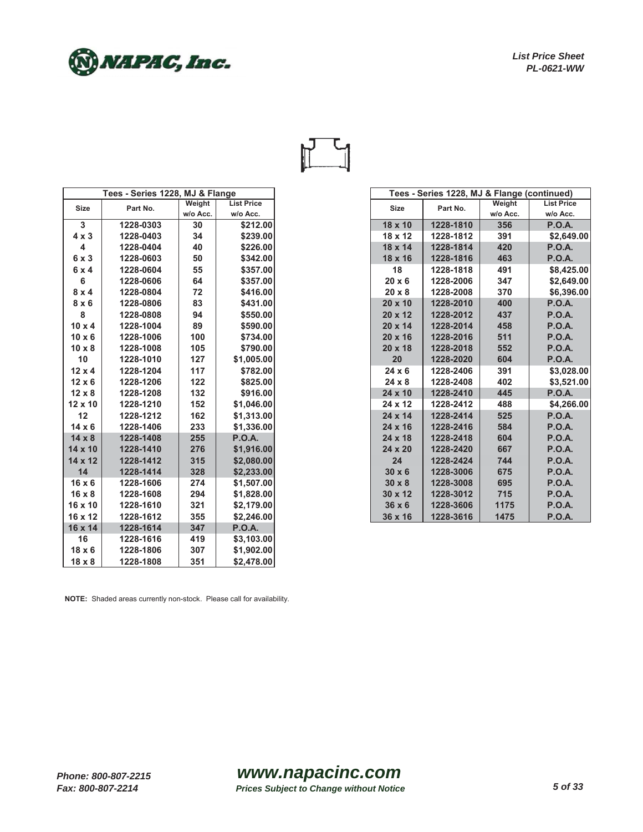

| Tees - Series 1228, MJ & Flange |           |          |                   |
|---------------------------------|-----------|----------|-------------------|
| <b>Size</b>                     | Part No.  | Weight   | <b>List Price</b> |
|                                 |           | w/o Acc. | w/o Acc.          |
| $\mathbf{3}$                    | 1228-0303 | 30       | \$212.00          |
| $4 \times 3$                    | 1228-0403 | 34       | \$239.00          |
| $\overline{4}$                  | 1228-0404 | 40       | \$226.00          |
| 6 x 3                           | 1228-0603 | 50       | \$342.00          |
| 6x4                             | 1228-0604 | 55       | \$357.00          |
| 6                               | 1228-0606 | 64       | \$357.00          |
| $8 \times 4$                    | 1228-0804 | 72       | \$416.00          |
| $8 \times 6$                    | 1228-0806 | 83       | \$431.00          |
| 8                               | 1228-0808 | 94       | \$550.00          |
| $10 \times 4$                   | 1228-1004 | 89       | \$590.00          |
| $10 \times 6$                   | 1228-1006 | 100      | \$734.00          |
| $10 \times 8$                   | 1228-1008 | 105      | \$790.00          |
| 10                              | 1228-1010 | 127      | \$1,005.00        |
| $12 \times 4$                   | 1228-1204 | 117      | \$782.00          |
| $12 \times 6$                   | 1228-1206 | 122      | \$825.00          |
| $12 \times 8$                   | 1228-1208 | 132      | \$916.00          |
| $12 \times 10$                  | 1228-1210 | 152      | \$1,046.00        |
| 12                              | 1228-1212 | 162      | \$1,313.00        |
| $14 \times 6$                   | 1228-1406 | 233      | \$1,336.00        |
| $14 \times 8$                   | 1228-1408 | 255      | <b>P.O.A.</b>     |
| $14 \times 10$                  | 1228-1410 | 276      | \$1,916.00        |
| $14 \times 12$                  | 1228-1412 | 315      | \$2,080.00        |
| 14                              | 1228-1414 | 328      | \$2,233.00        |
| $16 \times 6$                   | 1228-1606 | 274      | \$1,507.00        |
| $16 \times 8$                   | 1228-1608 | 294      | \$1,828.00        |
| 16 x 10                         | 1228-1610 | 321      | \$2,179.00        |
| 16 x 12                         | 1228-1612 | 355      | \$2,246.00        |
| 16 x 14                         | 1228-1614 | 347      | <b>P.O.A.</b>     |
| 16                              | 1228-1616 | 419      | \$3,103.00        |
| $18 \times 6$                   | 1228-1806 | 307      | \$1,902.00        |
| $18 \times 8$                   | 1228-1808 | 351      | \$2,478.00        |

|               | Tees - Series 1228, MJ & Flange |          |                   |                | Tees - Series 1228, MJ & Flange (continued) |          |                   |
|---------------|---------------------------------|----------|-------------------|----------------|---------------------------------------------|----------|-------------------|
| <b>Size</b>   | Part No.                        | Weight   | <b>List Price</b> | <b>Size</b>    | Part No.                                    | Weight   | <b>List Price</b> |
|               |                                 | w/o Acc. | w/o Acc.          |                |                                             | w/o Acc. | w/o Acc.          |
| 3             | 1228-0303                       | 30       | \$212.00          | 18 x 10        | 1228-1810                                   | 356      | <b>P.O.A.</b>     |
| $4 \times 3$  | 1228-0403                       | 34       | \$239.00          | $18 \times 12$ | 1228-1812                                   | 391      | \$2,649.00        |
| 4             | 1228-0404                       | 40       | \$226.00          | 18 x 14        | 1228-1814                                   | 420      | <b>P.O.A.</b>     |
| 6 x 3         | 1228-0603                       | 50       | \$342.00          | 18 x 16        | 1228-1816                                   | 463      | <b>P.O.A.</b>     |
| 6x4           | 1228-0604                       | 55       | \$357.00          | 18             | 1228-1818                                   | 491      | \$8,425.00        |
| 6             | 1228-0606                       | 64       | \$357.00          | $20 \times 6$  | 1228-2006                                   | 347      | \$2,649.00        |
| $8 \times 4$  | 1228-0804                       | 72       | \$416.00          | $20 \times 8$  | 1228-2008                                   | 370      | \$6,396.00        |
| $8 \times 6$  | 1228-0806                       | 83       | \$431.00          | 20 x 10        | 1228-2010                                   | 400      | <b>P.O.A.</b>     |
| 8             | 1228-0808                       | 94       | \$550.00          | $20 \times 12$ | 1228-2012                                   | 437      | <b>P.O.A.</b>     |
| $10 \times 4$ | 1228-1004                       | 89       | \$590.00          | 20 x 14        | 1228-2014                                   | 458      | <b>P.O.A.</b>     |
| $10 \times 6$ | 1228-1006                       | 100      | \$734.00          | $20 \times 16$ | 1228-2016                                   | 511      | <b>P.O.A.</b>     |
| $10 \times 8$ | 1228-1008                       | 105      | \$790.00          | 20 x 18        | 1228-2018                                   | 552      | <b>P.O.A.</b>     |
| 10            | 1228-1010                       | 127      | \$1,005.00        | 20             | 1228-2020                                   | 604      | <b>P.O.A.</b>     |
| $12 \times 4$ | 1228-1204                       | 117      | \$782.00          | $24 \times 6$  | 1228-2406                                   | 391      | \$3,028.00        |
| $12 \times 6$ | 1228-1206                       | 122      | \$825.00          | $24 \times 8$  | 1228-2408                                   | 402      | \$3,521.00        |
| $12 \times 8$ | 1228-1208                       | 132      | \$916.00          | 24 x 10        | 1228-2410                                   | 445      | <b>P.O.A.</b>     |
| 12 x 10       | 1228-1210                       | 152      | \$1,046.00        | 24 x 12        | 1228-2412                                   | 488      | \$4,266.00        |
| 12            | 1228-1212                       | 162      | \$1,313.00        | $24 \times 14$ | 1228-2414                                   | 525      | <b>P.O.A.</b>     |
| $14 \times 6$ | 1228-1406                       | 233      | \$1,336.00        | $24 \times 16$ | 1228-2416                                   | 584      | <b>P.O.A.</b>     |
| $14 \times 8$ | 1228-1408                       | 255      | <b>P.O.A.</b>     | 24 x 18        | 1228-2418                                   | 604      | <b>P.O.A.</b>     |
| 14 x 10       | 1228-1410                       | 276      | \$1,916.00        | 24 x 20        | 1228-2420                                   | 667      | <b>P.O.A.</b>     |
| 14 x 12       | 1228-1412                       | 315      | \$2,080.00        | 24             | 1228-2424                                   | 744      | <b>P.O.A.</b>     |
| 14            | 1228-1414                       | 328      | \$2,233.00        | $30 \times 6$  | 1228-3006                                   | 675      | <b>P.O.A.</b>     |
| $16 \times 6$ | 1228-1606                       | 274      | \$1,507.00        | $30 \times 8$  | 1228-3008                                   | 695      | <b>P.O.A.</b>     |
| $16 \times 8$ | 1228-1608                       | 294      | \$1,828.00        | 30 x 12        | 1228-3012                                   | 715      | <b>P.O.A.</b>     |
| 16 x 10       | 1228-1610                       | 321      | \$2,179.00        | $36 \times 6$  | 1228-3606                                   | 1175     | <b>P.O.A.</b>     |
| 16 x 12       | 1228-1612                       | 355      | \$2,246.00        | 36 x 16        | 1228-3616                                   | 1475     | <b>P.O.A.</b>     |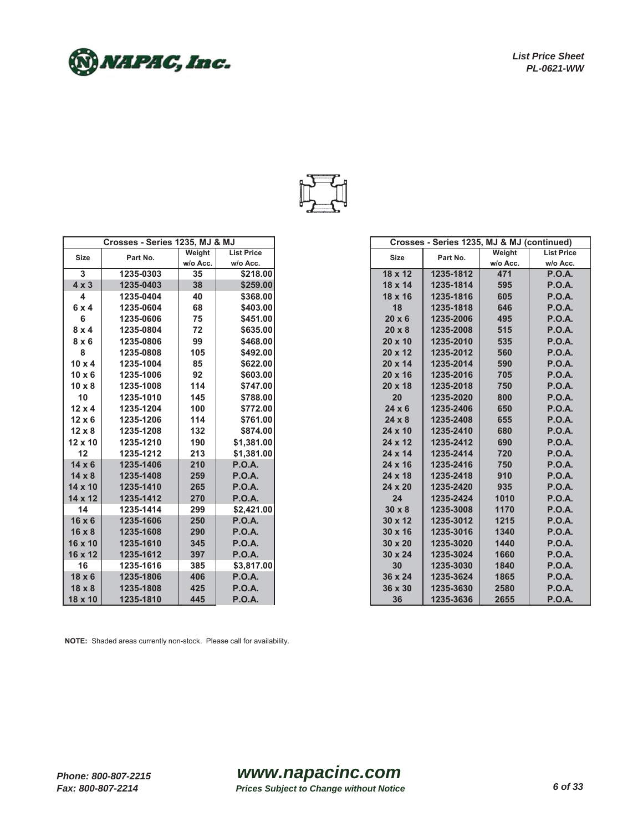) NAPAC, Inc.



|                         | Crosses - Series 1235, MJ & MJ |          |                   |
|-------------------------|--------------------------------|----------|-------------------|
| <b>Size</b>             | Part No.                       | Weight   | <b>List Price</b> |
|                         |                                | w/o Acc. | w/o Acc.          |
| 3                       | 1235-0303                      | 35       | \$218.00          |
| $4 \times 3$            | 1235-0403                      | 38       | \$259.00          |
| $\overline{\mathbf{4}}$ | 1235-0404                      | 40       | \$368.00          |
| 6x4                     | 1235-0604                      | 68       | \$403.00          |
| 6                       | 1235-0606                      | 75       | \$451.00          |
| 8x4                     | 1235-0804                      | 72       | \$635.00          |
| $8 \times 6$            | 1235-0806                      | 99       | \$468.00          |
| 8                       | 1235-0808                      | 105      | \$492.00          |
| $10 \times 4$           | 1235-1004                      | 85       | \$622.00          |
| $10 \times 6$           | 1235-1006                      | 92       | \$603.00          |
| $10 \times 8$           | 1235-1008                      | 114      | \$747.00          |
| 10                      | 1235-1010                      | 145      | \$788.00          |
| $12 \times 4$           | 1235-1204                      | 100      | \$772.00          |
| $12 \times 6$           | 1235-1206                      | 114      | \$761.00          |
| $12 \times 8$           | 1235-1208                      | 132      | \$874.00          |
| $12 \times 10$          | 1235-1210                      | 190      | \$1,381.00        |
| 12                      | 1235-1212                      | 213      | \$1,381.00        |
| $14 \times 6$           | 1235-1406                      | 210      | <b>P.O.A.</b>     |
| $14 \times 8$           | 1235-1408                      | 259      | <b>P.O.A.</b>     |
| 14 x 10                 | 1235-1410                      | 265      | <b>P.O.A.</b>     |
| $14 \times 12$          | 1235-1412                      | 270      | <b>P.O.A.</b>     |
| 14                      | 1235-1414                      | 299      | \$2,421.00        |
| $16 \times 6$           | 1235-1606                      | 250      | <b>P.O.A.</b>     |
| $16 \times 8$           | 1235-1608                      | 290      | <b>P.O.A.</b>     |
| 16 x 10                 | 1235-1610                      | 345      | <b>P.O.A.</b>     |
| 16 x 12                 | 1235-1612                      | 397      | <b>P.O.A.</b>     |
| 16                      | 1235-1616                      | 385      | \$3,817.00        |
| $18 \times 6$           | 1235-1806                      | 406      | <b>P.O.A.</b>     |
| $18 \times 8$           | 1235-1808                      | 425      | <b>P.O.A.</b>     |
|                         |                                |          |                   |
| 18 x 10                 | 1235-1810                      | 445      | <b>P.O.A.</b>     |

|                 | Crosses - Series 1235, MJ & MJ |          |                   | Crosses - Series 1235, MJ & MJ (continued) |           |          |                   |
|-----------------|--------------------------------|----------|-------------------|--------------------------------------------|-----------|----------|-------------------|
| Size            | Part No.                       | Weight   | <b>List Price</b> | <b>Size</b>                                | Part No.  | Weight   | <b>List Price</b> |
|                 |                                | w/o Acc. | w/o Acc.          |                                            |           | w/o Acc. | w/o Acc.          |
| $\overline{3}$  | 1235-0303                      | 35       | \$218.00          | $18 \times 12$                             | 1235-1812 | 471      | <b>P.O.A.</b>     |
| x <sub>3</sub>  | 1235-0403                      | 38       | \$259.00          | 18 x 14                                    | 1235-1814 | 595      | <b>P.O.A.</b>     |
| 4               | 1235-0404                      | 40       | \$368.00          | 18 x 16                                    | 1235-1816 | 605      | <b>P.O.A.</b>     |
| x <sub>4</sub>  | 1235-0604                      | 68       | \$403.00          | 18                                         | 1235-1818 | 646      | <b>P.O.A.</b>     |
| 6               | 1235-0606                      | 75       | \$451.00          | $20 \times 6$                              | 1235-2006 | 495      | <b>P.O.A.</b>     |
| x <sub>4</sub>  | 1235-0804                      | 72       | \$635.00          | $20 \times 8$                              | 1235-2008 | 515      | <b>P.O.A.</b>     |
| $x_6$           | 1235-0806                      | 99       | \$468.00          | $20 \times 10$                             | 1235-2010 | 535      | <b>P.O.A.</b>     |
| 8               | 1235-0808                      | 105      | \$492.00          | 20 x 12                                    | 1235-2012 | 560      | <b>P.O.A.</b>     |
| ) x 4           | 1235-1004                      | 85       | \$622.00          | 20 x 14                                    | 1235-2014 | 590      | <b>P.O.A.</b>     |
| ) x 6           | 1235-1006                      | 92       | \$603.00          | $20 \times 16$                             | 1235-2016 | 705      | <b>P.O.A.</b>     |
| 0 x 0           | 1235-1008                      | 114      | \$747.00          | 20 x 18                                    | 1235-2018 | 750      | <b>P.O.A.</b>     |
| 10              | 1235-1010                      | 145      | \$788.00          | 20                                         | 1235-2020 | 800      | <b>P.O.A.</b>     |
| 2 x 4           | 1235-1204                      | 100      | \$772.00          | $24 \times 6$                              | 1235-2406 | 650      | <b>P.O.A.</b>     |
| $2 \times 6$    | 1235-1206                      | 114      | \$761.00          | $24 \times 8$                              | 1235-2408 | 655      | <b>P.O.A.</b>     |
| $2 \times 8$    | 1235-1208                      | 132      | \$874.00          | 24 x 10                                    | 1235-2410 | 680      | <b>P.O.A.</b>     |
| x 10            | 1235-1210                      | 190      | \$1,381.00        | 24 x 12                                    | 1235-2412 | 690      | <b>P.O.A.</b>     |
| 12              | 1235-1212                      | 213      | \$1,381.00        | 24 x 14                                    | 1235-2414 | 720      | <b>P.O.A.</b>     |
| $4 \times 6$    | 1235-1406                      | 210      | <b>P.O.A.</b>     | 24 x 16                                    | 1235-2416 | 750      | <b>P.O.A.</b>     |
| $4 \times 8$    | 1235-1408                      | 259      | <b>P.O.A.</b>     | 24 x 18                                    | 1235-2418 | 910      | <b>P.O.A.</b>     |
| x 10            | 1235-1410                      | 265      | <b>P.O.A.</b>     | 24 x 20                                    | 1235-2420 | 935      | <b>P.O.A.</b>     |
| x 12            | 1235-1412                      | 270      | <b>P.O.A.</b>     | 24                                         | 1235-2424 | 1010     | <b>P.O.A.</b>     |
| 14              | 1235-1414                      | 299      | \$2,421.00        | $30 \times 8$                              | 1235-3008 | 1170     | <b>P.O.A.</b>     |
| 3 x 6           | 1235-1606                      | 250      | <b>P.O.A.</b>     | 30 x 12                                    | 1235-3012 | 1215     | <b>P.O.A.</b>     |
| $3 \times 8$    | 1235-1608                      | 290      | <b>P.O.A.</b>     | $30 \times 16$                             | 1235-3016 | 1340     | <b>P.O.A.</b>     |
| x 10            | 1235-1610                      | 345      | <b>P.O.A.</b>     | $30 \times 20$                             | 1235-3020 | 1440     | <b>P.O.A.</b>     |
| x 12            | 1235-1612                      | 397      | <b>P.O.A.</b>     | 30 x 24                                    | 1235-3024 | 1660     | <b>P.O.A.</b>     |
| 16              | 1235-1616                      | 385      | \$3,817.00        | 30                                         | 1235-3030 | 1840     | <b>P.O.A.</b>     |
| $3 \times 6$    | 1235-1806                      | 406      | <b>P.O.A.</b>     | 36 x 24                                    | 1235-3624 | 1865     | <b>P.O.A.</b>     |
| $3 \times 8$    | 1235-1808                      | 425      | <b>P.O.A.</b>     | 36 x 30                                    | 1235-3630 | 2580     | <b>P.O.A.</b>     |
| x <sub>10</sub> | 1235-1810                      | 445      | <b>P.O.A.</b>     | 36                                         | 1235-3636 | 2655     | <b>P.O.A.</b>     |

**NOTE:** Shaded areas currently non-stock. Please call for availability.

*Phone: 800-807-2215 Fax: 800-807-2214*

## *www.napacinc.com Prices Subject to Change without Notice 6 of 33*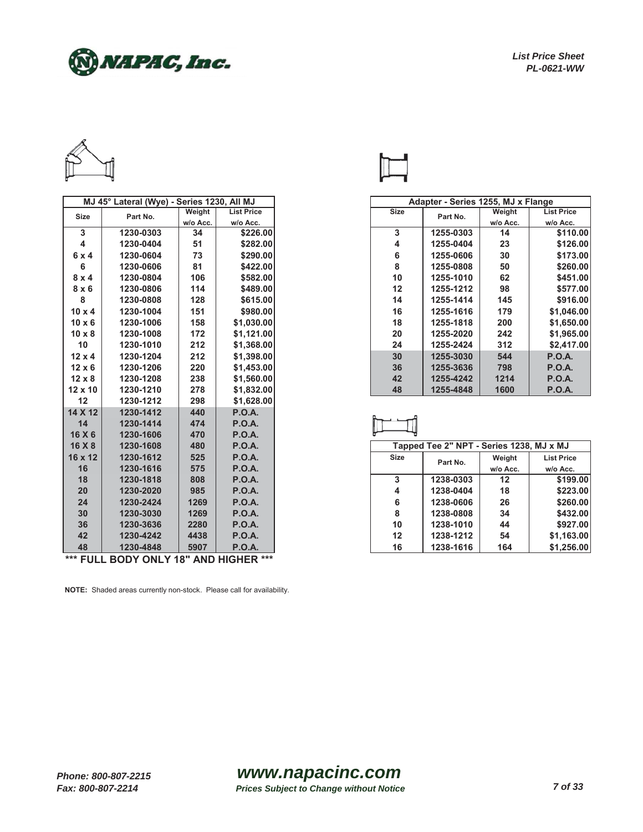) NAPAC, Inc.



| Weight<br><b>Size</b><br>Weight<br><b>List Price</b><br>Part No.<br>Part No.<br><b>Size</b><br>w/o Acc.<br>w/o Acc.<br>w/o Acc.<br>3<br>\$226.00<br>3<br>1230-0303<br>34<br>1255-0303<br>14<br>$\overline{\mathbf{4}}$<br>4<br>1230-0404<br>51<br>\$282.00<br>1255-0404<br>23<br>6<br>73<br>\$290.00<br>30<br>1230-0604<br>1255-0606<br>6x4<br>8<br>6<br>81<br>\$422.00<br>1230-0606<br>1255-0808<br>50<br>106<br>\$582.00<br>10<br>62<br>$8 \times 4$<br>1230-0804<br>1255-1010<br>114<br>\$489.00<br>12<br>98<br>$8 \times 6$<br>1230-0806<br>1255-1212<br>8<br>1230-0808<br>128<br>\$615.00<br>14<br>1255-1414<br>145<br>\$980.00<br>$10 \times 4$<br>1230-1004<br>151<br>16<br>1255-1616<br>179<br>158<br>\$1,030.00<br>18<br>$10 \times 6$<br>1230-1006<br>1255-1818<br>200<br>172<br>20<br>$10 \times 8$<br>1230-1008<br>\$1,121.00<br>1255-2020<br>242<br>10<br>212<br>\$1,368.00<br>24<br>1230-1010<br>1255-2424<br>312<br>$12 \times 4$<br>1230-1204<br>212<br>\$1,398.00<br>30<br>1255-3030<br>544<br>$12 \times 6$<br>1230-1206<br>220<br>\$1,453.00<br>36<br>1255-3636<br>798<br>238<br>$12 \times 8$<br>1230-1208<br>\$1,560.00<br>42<br>1255-4242<br>1214<br>48<br>1230-1210<br>278<br>\$1,832.00<br>1255-4848<br>1600<br>$12 \times 10$<br>12<br>298<br>1230-1212<br>\$1,628.00<br>14 X 12<br><b>P.O.A.</b><br>1230-1412<br>440<br>14<br>474<br><b>P.O.A.</b><br>1230-1414<br>16 X 6<br><b>P.O.A.</b><br>1230-1606<br>470<br>Tapped Tee 2" NPT - Series 1238, MJ x MJ<br>16 X 8<br><b>P.O.A.</b><br>1230-1608<br>480<br><b>P.O.A.</b><br>16 x 12<br>1230-1612<br>525<br><b>Size</b><br>Weight<br>Part No.<br>16<br><b>P.O.A.</b><br>1230-1616<br>575<br>w/o Acc.<br>3<br>1238-0303<br>18<br><b>P.O.A.</b><br>12<br>1230-1818<br>808<br>4<br>20<br>985<br><b>P.O.A.</b><br>18<br>1230-2020<br>1238-0404<br><b>P.O.A.</b><br>24<br>6<br>26<br>1230-2424<br>1269<br>1238-0606<br>8<br>30<br><b>P.O.A.</b><br>1230-3030<br>1269<br>34<br>1238-0808<br>36<br><b>P.O.A.</b><br>10<br>1230-3636<br>2280<br>1238-1010<br>44<br><b>P.O.A.</b><br>12<br>42<br>1230-4242<br>4438<br>1238-1212<br>54 | MJ 45° Lateral (Wye) - Series 1230, All MJ |           |      |               |    | Adapter - Series 1255, MJ x Flange |     |                  |
|---------------------------------------------------------------------------------------------------------------------------------------------------------------------------------------------------------------------------------------------------------------------------------------------------------------------------------------------------------------------------------------------------------------------------------------------------------------------------------------------------------------------------------------------------------------------------------------------------------------------------------------------------------------------------------------------------------------------------------------------------------------------------------------------------------------------------------------------------------------------------------------------------------------------------------------------------------------------------------------------------------------------------------------------------------------------------------------------------------------------------------------------------------------------------------------------------------------------------------------------------------------------------------------------------------------------------------------------------------------------------------------------------------------------------------------------------------------------------------------------------------------------------------------------------------------------------------------------------------------------------------------------------------------------------------------------------------------------------------------------------------------------------------------------------------------------------------------------------------------------------------------------------------------------------------------------------------------------------------------------------------------------------------------------------------------------------------------------------------|--------------------------------------------|-----------|------|---------------|----|------------------------------------|-----|------------------|
|                                                                                                                                                                                                                                                                                                                                                                                                                                                                                                                                                                                                                                                                                                                                                                                                                                                                                                                                                                                                                                                                                                                                                                                                                                                                                                                                                                                                                                                                                                                                                                                                                                                                                                                                                                                                                                                                                                                                                                                                                                                                                                         |                                            |           |      |               |    |                                    |     | <b>List Pric</b> |
|                                                                                                                                                                                                                                                                                                                                                                                                                                                                                                                                                                                                                                                                                                                                                                                                                                                                                                                                                                                                                                                                                                                                                                                                                                                                                                                                                                                                                                                                                                                                                                                                                                                                                                                                                                                                                                                                                                                                                                                                                                                                                                         |                                            |           |      |               |    |                                    |     | w/o Acc          |
|                                                                                                                                                                                                                                                                                                                                                                                                                                                                                                                                                                                                                                                                                                                                                                                                                                                                                                                                                                                                                                                                                                                                                                                                                                                                                                                                                                                                                                                                                                                                                                                                                                                                                                                                                                                                                                                                                                                                                                                                                                                                                                         |                                            |           |      |               |    |                                    |     | \$11             |
|                                                                                                                                                                                                                                                                                                                                                                                                                                                                                                                                                                                                                                                                                                                                                                                                                                                                                                                                                                                                                                                                                                                                                                                                                                                                                                                                                                                                                                                                                                                                                                                                                                                                                                                                                                                                                                                                                                                                                                                                                                                                                                         |                                            |           |      |               |    |                                    |     | \$12             |
|                                                                                                                                                                                                                                                                                                                                                                                                                                                                                                                                                                                                                                                                                                                                                                                                                                                                                                                                                                                                                                                                                                                                                                                                                                                                                                                                                                                                                                                                                                                                                                                                                                                                                                                                                                                                                                                                                                                                                                                                                                                                                                         |                                            |           |      |               |    |                                    |     | \$17             |
|                                                                                                                                                                                                                                                                                                                                                                                                                                                                                                                                                                                                                                                                                                                                                                                                                                                                                                                                                                                                                                                                                                                                                                                                                                                                                                                                                                                                                                                                                                                                                                                                                                                                                                                                                                                                                                                                                                                                                                                                                                                                                                         |                                            |           |      |               |    |                                    |     | \$26             |
|                                                                                                                                                                                                                                                                                                                                                                                                                                                                                                                                                                                                                                                                                                                                                                                                                                                                                                                                                                                                                                                                                                                                                                                                                                                                                                                                                                                                                                                                                                                                                                                                                                                                                                                                                                                                                                                                                                                                                                                                                                                                                                         |                                            |           |      |               |    |                                    |     | \$45             |
|                                                                                                                                                                                                                                                                                                                                                                                                                                                                                                                                                                                                                                                                                                                                                                                                                                                                                                                                                                                                                                                                                                                                                                                                                                                                                                                                                                                                                                                                                                                                                                                                                                                                                                                                                                                                                                                                                                                                                                                                                                                                                                         |                                            |           |      |               |    |                                    |     | \$57             |
|                                                                                                                                                                                                                                                                                                                                                                                                                                                                                                                                                                                                                                                                                                                                                                                                                                                                                                                                                                                                                                                                                                                                                                                                                                                                                                                                                                                                                                                                                                                                                                                                                                                                                                                                                                                                                                                                                                                                                                                                                                                                                                         |                                            |           |      |               |    |                                    |     | \$91             |
|                                                                                                                                                                                                                                                                                                                                                                                                                                                                                                                                                                                                                                                                                                                                                                                                                                                                                                                                                                                                                                                                                                                                                                                                                                                                                                                                                                                                                                                                                                                                                                                                                                                                                                                                                                                                                                                                                                                                                                                                                                                                                                         |                                            |           |      |               |    |                                    |     | \$1,04           |
|                                                                                                                                                                                                                                                                                                                                                                                                                                                                                                                                                                                                                                                                                                                                                                                                                                                                                                                                                                                                                                                                                                                                                                                                                                                                                                                                                                                                                                                                                                                                                                                                                                                                                                                                                                                                                                                                                                                                                                                                                                                                                                         |                                            |           |      |               |    |                                    |     | \$1,65           |
|                                                                                                                                                                                                                                                                                                                                                                                                                                                                                                                                                                                                                                                                                                                                                                                                                                                                                                                                                                                                                                                                                                                                                                                                                                                                                                                                                                                                                                                                                                                                                                                                                                                                                                                                                                                                                                                                                                                                                                                                                                                                                                         |                                            |           |      |               |    |                                    |     | \$1,96           |
|                                                                                                                                                                                                                                                                                                                                                                                                                                                                                                                                                                                                                                                                                                                                                                                                                                                                                                                                                                                                                                                                                                                                                                                                                                                                                                                                                                                                                                                                                                                                                                                                                                                                                                                                                                                                                                                                                                                                                                                                                                                                                                         |                                            |           |      |               |    |                                    |     | \$2,41           |
|                                                                                                                                                                                                                                                                                                                                                                                                                                                                                                                                                                                                                                                                                                                                                                                                                                                                                                                                                                                                                                                                                                                                                                                                                                                                                                                                                                                                                                                                                                                                                                                                                                                                                                                                                                                                                                                                                                                                                                                                                                                                                                         |                                            |           |      |               |    |                                    |     | <b>P.O.A.</b>    |
|                                                                                                                                                                                                                                                                                                                                                                                                                                                                                                                                                                                                                                                                                                                                                                                                                                                                                                                                                                                                                                                                                                                                                                                                                                                                                                                                                                                                                                                                                                                                                                                                                                                                                                                                                                                                                                                                                                                                                                                                                                                                                                         |                                            |           |      |               |    |                                    |     | <b>P.O.A.</b>    |
|                                                                                                                                                                                                                                                                                                                                                                                                                                                                                                                                                                                                                                                                                                                                                                                                                                                                                                                                                                                                                                                                                                                                                                                                                                                                                                                                                                                                                                                                                                                                                                                                                                                                                                                                                                                                                                                                                                                                                                                                                                                                                                         |                                            |           |      |               |    |                                    |     | <b>P.O.A.</b>    |
|                                                                                                                                                                                                                                                                                                                                                                                                                                                                                                                                                                                                                                                                                                                                                                                                                                                                                                                                                                                                                                                                                                                                                                                                                                                                                                                                                                                                                                                                                                                                                                                                                                                                                                                                                                                                                                                                                                                                                                                                                                                                                                         |                                            |           |      |               |    |                                    |     | <b>P.O.A.</b>    |
|                                                                                                                                                                                                                                                                                                                                                                                                                                                                                                                                                                                                                                                                                                                                                                                                                                                                                                                                                                                                                                                                                                                                                                                                                                                                                                                                                                                                                                                                                                                                                                                                                                                                                                                                                                                                                                                                                                                                                                                                                                                                                                         |                                            |           |      |               |    |                                    |     |                  |
|                                                                                                                                                                                                                                                                                                                                                                                                                                                                                                                                                                                                                                                                                                                                                                                                                                                                                                                                                                                                                                                                                                                                                                                                                                                                                                                                                                                                                                                                                                                                                                                                                                                                                                                                                                                                                                                                                                                                                                                                                                                                                                         |                                            |           |      |               |    |                                    |     |                  |
|                                                                                                                                                                                                                                                                                                                                                                                                                                                                                                                                                                                                                                                                                                                                                                                                                                                                                                                                                                                                                                                                                                                                                                                                                                                                                                                                                                                                                                                                                                                                                                                                                                                                                                                                                                                                                                                                                                                                                                                                                                                                                                         |                                            |           |      |               |    |                                    |     |                  |
|                                                                                                                                                                                                                                                                                                                                                                                                                                                                                                                                                                                                                                                                                                                                                                                                                                                                                                                                                                                                                                                                                                                                                                                                                                                                                                                                                                                                                                                                                                                                                                                                                                                                                                                                                                                                                                                                                                                                                                                                                                                                                                         |                                            |           |      |               |    |                                    |     |                  |
|                                                                                                                                                                                                                                                                                                                                                                                                                                                                                                                                                                                                                                                                                                                                                                                                                                                                                                                                                                                                                                                                                                                                                                                                                                                                                                                                                                                                                                                                                                                                                                                                                                                                                                                                                                                                                                                                                                                                                                                                                                                                                                         |                                            |           |      |               |    |                                    |     |                  |
|                                                                                                                                                                                                                                                                                                                                                                                                                                                                                                                                                                                                                                                                                                                                                                                                                                                                                                                                                                                                                                                                                                                                                                                                                                                                                                                                                                                                                                                                                                                                                                                                                                                                                                                                                                                                                                                                                                                                                                                                                                                                                                         |                                            |           |      |               |    |                                    |     | <b>List Pric</b> |
|                                                                                                                                                                                                                                                                                                                                                                                                                                                                                                                                                                                                                                                                                                                                                                                                                                                                                                                                                                                                                                                                                                                                                                                                                                                                                                                                                                                                                                                                                                                                                                                                                                                                                                                                                                                                                                                                                                                                                                                                                                                                                                         |                                            |           |      |               |    |                                    |     | w/o Acc          |
|                                                                                                                                                                                                                                                                                                                                                                                                                                                                                                                                                                                                                                                                                                                                                                                                                                                                                                                                                                                                                                                                                                                                                                                                                                                                                                                                                                                                                                                                                                                                                                                                                                                                                                                                                                                                                                                                                                                                                                                                                                                                                                         |                                            |           |      |               |    |                                    |     | \$19             |
|                                                                                                                                                                                                                                                                                                                                                                                                                                                                                                                                                                                                                                                                                                                                                                                                                                                                                                                                                                                                                                                                                                                                                                                                                                                                                                                                                                                                                                                                                                                                                                                                                                                                                                                                                                                                                                                                                                                                                                                                                                                                                                         |                                            |           |      |               |    |                                    |     | \$22             |
|                                                                                                                                                                                                                                                                                                                                                                                                                                                                                                                                                                                                                                                                                                                                                                                                                                                                                                                                                                                                                                                                                                                                                                                                                                                                                                                                                                                                                                                                                                                                                                                                                                                                                                                                                                                                                                                                                                                                                                                                                                                                                                         |                                            |           |      |               |    |                                    |     | \$26             |
|                                                                                                                                                                                                                                                                                                                                                                                                                                                                                                                                                                                                                                                                                                                                                                                                                                                                                                                                                                                                                                                                                                                                                                                                                                                                                                                                                                                                                                                                                                                                                                                                                                                                                                                                                                                                                                                                                                                                                                                                                                                                                                         |                                            |           |      |               |    |                                    |     | \$43             |
|                                                                                                                                                                                                                                                                                                                                                                                                                                                                                                                                                                                                                                                                                                                                                                                                                                                                                                                                                                                                                                                                                                                                                                                                                                                                                                                                                                                                                                                                                                                                                                                                                                                                                                                                                                                                                                                                                                                                                                                                                                                                                                         |                                            |           |      |               |    |                                    |     | \$92             |
|                                                                                                                                                                                                                                                                                                                                                                                                                                                                                                                                                                                                                                                                                                                                                                                                                                                                                                                                                                                                                                                                                                                                                                                                                                                                                                                                                                                                                                                                                                                                                                                                                                                                                                                                                                                                                                                                                                                                                                                                                                                                                                         |                                            |           |      |               |    |                                    |     | \$1,16           |
|                                                                                                                                                                                                                                                                                                                                                                                                                                                                                                                                                                                                                                                                                                                                                                                                                                                                                                                                                                                                                                                                                                                                                                                                                                                                                                                                                                                                                                                                                                                                                                                                                                                                                                                                                                                                                                                                                                                                                                                                                                                                                                         | 48                                         | 1230-4848 | 5907 | <b>P.O.A.</b> | 16 | 1238-1616                          | 164 | \$1,25           |

**\*\*\* FULL BODY ONLY 18" AND HIGHER \*\*\***



|               | MJ 45° Lateral (Wye) - Series 1230, All MJ |          |                   |             |           | Adapter - Series 1255, MJ x Flange |                   |
|---------------|--------------------------------------------|----------|-------------------|-------------|-----------|------------------------------------|-------------------|
| Size          | Part No.                                   | Weight   | <b>List Price</b> | <b>Size</b> | Part No.  | Weight                             | <b>List Price</b> |
|               |                                            | w/o Acc. | w/o Acc.          |             |           | w/o Acc.                           | w/o Acc.          |
| 3             | 1230-0303                                  | 34       | \$226.00          | 3           | 1255-0303 | 14                                 |                   |
| 4             | 1230-0404                                  | 51       | \$282.00          | 4           | 1255-0404 | 23                                 |                   |
| 6x4           | 1230-0604                                  | 73       | \$290.00          | 6           | 1255-0606 | 30                                 |                   |
| 6             | 1230-0606                                  | 81       | \$422.00          | 8           | 1255-0808 | 50                                 |                   |
| $8 \times 4$  | 1230-0804                                  | 106      | \$582.00          | 10          | 1255-1010 | 62                                 |                   |
| 8x6           | 1230-0806                                  | 114      | \$489.00          | 12          | 1255-1212 | 98                                 |                   |
| 8             | 1230-0808                                  | 128      | \$615.00          | 14          | 1255-1414 | 145                                |                   |
| $10 \times 4$ | 1230-1004                                  | 151      | \$980.00          | 16          | 1255-1616 | 179                                | \$1,046.00        |
| 10 x 6        | 1230-1006                                  | 158      | \$1,030.00        | 18          | 1255-1818 | 200                                | \$1,650.00        |
| $10 \times 8$ | 1230-1008                                  | 172      | \$1,121.00        | 20          | 1255-2020 | 242                                | \$1,965.00        |
| 10            | 1230-1010                                  | 212      | \$1,368.00        | 24          | 1255-2424 | 312                                | \$2,417.00        |
| $12 \times 4$ | 1230-1204                                  | 212      | \$1,398.00        | 30          | 1255-3030 | 544                                | <b>P.O.A.</b>     |
| 12 x 6        | 1230-1206                                  | 220      | \$1,453.00        | 36          | 1255-3636 | 798                                | <b>P.O.A.</b>     |
| 12 x 8        | 1230-1208                                  | 238      | \$1,560.00        | 42          | 1255-4242 | 1214                               | <b>P.O.A.</b>     |
| $2 \times 10$ | 1230-1210                                  | 278      | \$1,832.00        | 48          | 1255-4848 | 1600                               | <b>P.O.A.</b>     |
|               |                                            |          |                   |             |           |                                    |                   |

| 14            | 1230-1414 | 474  | P.O.A.        |                   |                                          |          |                   |
|---------------|-----------|------|---------------|-------------------|------------------------------------------|----------|-------------------|
| 16X6          | 1230-1606 | 470  | P.O.A.        |                   |                                          |          |                   |
| $16 \times 8$ | 1230-1608 | 480  | P.O.A.        |                   | Tapped Tee 2" NPT - Series 1238, MJ x MJ |          |                   |
| 16 x 12       | 1230-1612 | 525  | P.O.A.        | <b>Size</b>       | Part No.                                 | Weight   | <b>List Price</b> |
| 16            | 1230-1616 | 575  | P.O.A.        |                   |                                          | w/o Acc. | w/o Acc.          |
| 18            | 1230-1818 | 808  | P.O.A.        | 3                 | 1238-0303                                | 12       | \$199.00          |
| 20            | 1230-2020 | 985  | P.O.A.        | 4                 | 1238-0404                                | 18       | \$223.00          |
| 24            | 1230-2424 | 1269 | P.O.A.        | 6                 | 1238-0606                                | 26       | \$260.00          |
| 30            | 1230-3030 | 1269 | P.O.A.        | 8                 | 1238-0808                                | 34       | \$432.00          |
| 36            | 1230-3636 | 2280 | P.O.A.        | 10                | 1238-1010                                | 44       | \$927.00          |
| 42            | 1230-4242 | 4438 | P.O.A.        | $12 \overline{ }$ | 1238-1212                                | 54       | \$1,163.00        |
| 48            | 1230-4848 | 5907 | <b>P.O.A.</b> | 16                | 1238-1616                                | 164      | \$1,256.00        |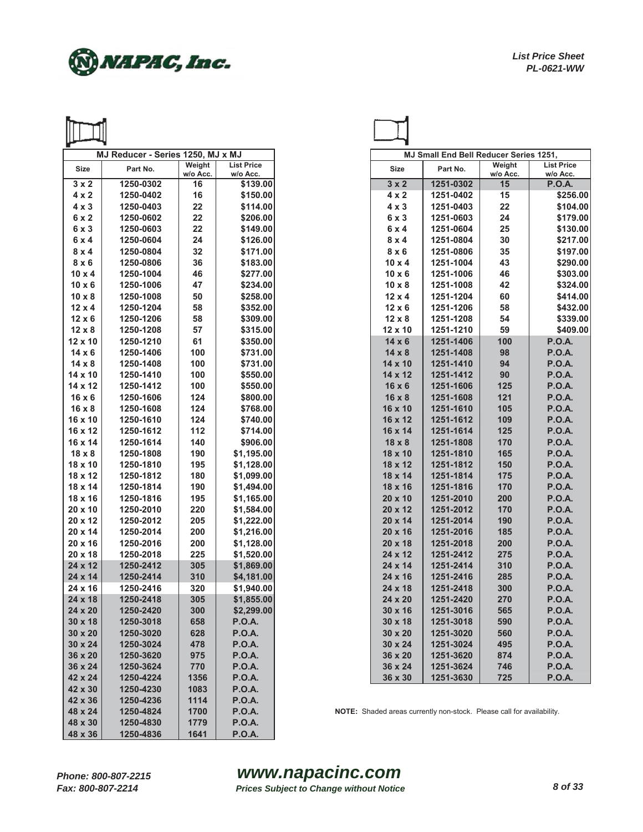

|                           | MJ Reducer - Series 1250, MJ x MJ |                    |                               |                           | <b>MJ Small End Bell Reducer Series 1251,</b>                         |                |                                |
|---------------------------|-----------------------------------|--------------------|-------------------------------|---------------------------|-----------------------------------------------------------------------|----------------|--------------------------------|
| Size                      | Part No.                          | Weight<br>w/o Acc. | <b>List Price</b><br>w/o Acc. | Size                      | Part No.                                                              | Weight         | <b>List Pric</b><br>w/o Acc    |
| $3 \times 2$              | 1250-0302                         | 16                 | \$139.00                      | $3 \times 2$              | 1251-0302                                                             | w/o Acc.<br>15 | <b>P.O.A.</b>                  |
| $4 \times 2$              | 1250-0402                         | 16                 | \$150.00                      | $4 \times 2$              | 1251-0402                                                             | 15             | \$25                           |
| $4 \times 3$              | 1250-0403                         | 22                 | \$114.00                      | $4 \times 3$              | 1251-0403                                                             | 22             | \$10                           |
| 6x2                       | 1250-0602                         | 22                 | \$206.00                      | $6 \times 3$              | 1251-0603                                                             | 24             | \$17                           |
| $6 \times 3$              | 1250-0603                         | 22                 | \$149.00                      | 6x4                       | 1251-0604                                                             | 25             | \$13                           |
| 6x4                       | 1250-0604                         | 24                 | \$126.00                      | $8 \times 4$              | 1251-0804                                                             | 30             | \$21                           |
| $8 \times 4$              | 1250-0804                         | 32                 | \$171.00                      | $8 \times 6$              | 1251-0806                                                             | 35             | \$19                           |
| $8 \times 6$              | 1250-0806                         | 36                 | \$183.00                      | $10 \times 4$             | 1251-1004                                                             | 43             | \$29                           |
| $10 \times 4$             | 1250-1004                         | 46                 | \$277.00                      | $10 \times 6$             | 1251-1006                                                             | 46             | \$30                           |
| $10 \times 6$             | 1250-1006                         | 47                 | \$234.00                      | $10 \times 8$             | 1251-1008                                                             | 42             | \$32                           |
| $10 \times 8$             | 1250-1008                         | 50                 | \$258.00                      | $12 \times 4$             | 1251-1204                                                             | 60             | \$41                           |
| $12 \times 4$             | 1250-1204                         | 58                 | \$352.00                      | $12 \times 6$             | 1251-1206                                                             | 58             | \$43                           |
| $12 \times 6$             | 1250-1206                         | 58                 | \$309.00                      | $12 \times 8$             | 1251-1208                                                             | 54             | \$33                           |
| $12 \times 8$             | 1250-1208                         | 57                 | \$315.00                      | 12 x 10                   | 1251-1210                                                             | 59             | \$40                           |
| 12 x 10                   | 1250-1210                         | 61                 | \$350.00                      | $14 \times 6$             | 1251-1406                                                             | 100            | <b>P.O.A.</b>                  |
| $14 \times 6$             | 1250-1406                         | 100                | \$731.00                      | $14 \times 8$             | 1251-1408                                                             | 98             | <b>P.O.A.</b>                  |
| $14 \times 8$             | 1250-1408                         | 100                | \$731.00                      | 14 x 10                   | 1251-1410                                                             | 94             | <b>P.O.A.</b>                  |
|                           | 1250-1410                         | 100                | \$550.00                      |                           | 1251-1412                                                             | 90             | <b>P.O.A.</b>                  |
| 14 x 10                   |                                   | 100                | \$550.00                      | 14 x 12                   | 1251-1606                                                             |                | <b>P.O.A.</b>                  |
| 14 x 12<br>$16 \times 6$  | 1250-1412                         |                    | \$800.00                      | $16 \times 6$             |                                                                       | 125<br>121     | <b>P.O.A.</b>                  |
|                           | 1250-1606                         | 124                | \$768.00                      | $16 \times 8$<br>16 x 10  | 1251-1608                                                             |                | <b>P.O.A.</b>                  |
| $16 \times 8$<br>16 x 10  | 1250-1608<br>1250-1610            | 124                |                               | 16 x 12                   | 1251-1610                                                             | 105            | <b>P.O.A.</b>                  |
|                           |                                   | 124<br>112         | \$740.00                      |                           | 1251-1612                                                             | 109<br>125     |                                |
| 16 x 12<br>16 x 14        | 1250-1612<br>1250-1614            | 140                | \$714.00<br>\$906.00          | 16 x 14                   | 1251-1614<br>1251-1808                                                | 170            | <b>P.O.A.</b>                  |
|                           |                                   |                    |                               | $18 \times 8$             |                                                                       |                | <b>P.O.A.</b><br><b>P.O.A.</b> |
| $18 \times 8$             | 1250-1808                         | 190                | \$1,195.00                    | 18 x 10                   | 1251-1810                                                             | 165            |                                |
| 18 x 10                   | 1250-1810                         | 195<br>180         | \$1,128.00                    | 18 x 12                   | 1251-1812                                                             | 150            | <b>P.O.A.</b><br><b>P.O.A.</b> |
| 18 x 12                   | 1250-1812                         |                    | \$1,099.00                    | 18 x 14                   | 1251-1814                                                             | 175            |                                |
| 18 x 14                   | 1250-1814                         | 190                | \$1,494.00                    | 18 x 16                   | 1251-1816                                                             | 170            | <b>P.O.A.</b>                  |
| 18 x 16                   | 1250-1816                         | 195                | \$1,165.00                    | 20 x 10                   | 1251-2010                                                             | 200            | <b>P.O.A.</b>                  |
| 20 x 10                   | 1250-2010                         | 220                | \$1,584.00                    | 20 x 12                   | 1251-2012                                                             | 170            | <b>P.O.A.</b>                  |
| 20 x 12                   | 1250-2012                         | 205                | \$1,222.00                    | 20 x 14                   | 1251-2014                                                             | 190            | <b>P.O.A.</b>                  |
| 20 x 14                   | 1250-2014                         | 200                | \$1,216.00                    | 20 x 16                   | 1251-2016                                                             | 185            | <b>P.O.A.</b>                  |
| 20 x 16                   | 1250-2016                         | 200                | \$1,128.00                    | 20 x 18                   | 1251-2018                                                             | 200            | <b>P.O.A.</b>                  |
| 20 x 18                   | 1250-2018<br>1250-2412            | 225                | \$1,520.00<br>\$1,869.00      | 24 x 12                   | 1251-2412<br>1251-2414                                                | 275            | <b>P.O.A.</b>                  |
| 24 x 12                   | 1250-2414                         | 305                | \$4,181.00                    | 24 x 14<br>$24 \times 16$ | 1251-2416                                                             | 310            | <b>P.O.A.</b>                  |
| 24 x 14<br>24 x 16        | 1250-2416                         | 310<br>320         | \$1,940.00                    | 24 x 18                   | 1251-2418                                                             | 285<br>300     | <b>P.O.A.</b><br><b>P.O.A.</b> |
| 24 x 18                   | 1250-2418                         | 305                | \$1,855.00                    |                           | 1251-2420                                                             |                | <b>P.O.A.</b>                  |
| 24 x 20                   | 1250-2420                         | 300                | \$2,299.00                    | 24 x 20<br>30 x 16        | 1251-3016                                                             | 270<br>565     | <b>P.O.A.</b>                  |
|                           |                                   |                    |                               |                           | 1251-3018                                                             |                |                                |
| $30 \times 18$<br>30 x 20 | 1250-3018                         | 658                | <b>P.O.A.</b>                 | 30 x 18                   |                                                                       | 590            | <b>P.O.A.</b>                  |
|                           | 1250-3020                         | 628                | <b>P.O.A.</b>                 | $30 \times 20$            | 1251-3020                                                             | 560            | <b>P.O.A.</b>                  |
| 30 x 24                   | 1250-3024<br>1250-3620            | 478                | <b>P.O.A.</b>                 | 30 x 24                   | 1251-3024                                                             | 495            | <b>P.O.A.</b>                  |
| 36 x 20                   |                                   | 975                | <b>P.O.A.</b>                 | 36 x 20                   | 1251-3620<br>1251-3624                                                | 874            | <b>P.O.A.</b>                  |
| 36 x 24                   | 1250-3624                         | 770                | <b>P.O.A.</b>                 | 36 x 24                   |                                                                       | 746            | <b>P.O.A.</b>                  |
| 42 x 24                   | 1250-4224                         | 1356               | <b>P.O.A.</b>                 | 36 x 30                   | 1251-3630                                                             | 725            | <b>P.O.A.</b>                  |
| 42 x 30<br>42 x 36        | 1250-4230                         | 1083               | <b>P.O.A.</b>                 |                           |                                                                       |                |                                |
| 48 x 24                   | 1250-4236<br>1250-4824            | 1114               | <b>P.O.A.</b>                 |                           | NOTE: Shaded areas currently non-stock. Please call for availability. |                |                                |
|                           |                                   | 1700               | <b>P.O.A.</b>                 |                           |                                                                       |                |                                |
| 48 x 30                   | 1250-4830                         | 1779               | <b>P.O.A.</b>                 |                           |                                                                       |                |                                |
| 48 x 36                   | 1250-4836                         | 1641               | <b>P.O.A.</b>                 |                           |                                                                       |                |                                |

|               | MJ Reducer - Series 1250, MJ x MJ |                    | MJ Small End Bell Reducer Series 1251, |                |           |                    |                                |
|---------------|-----------------------------------|--------------------|----------------------------------------|----------------|-----------|--------------------|--------------------------------|
| <b>Size</b>   | Part No.                          | Weight<br>w/o Acc. | <b>List Price</b><br>w/o Acc.          | <b>Size</b>    | Part No.  | Weight<br>w/o Acc. | <b>List Price</b><br>w/o Acc.  |
| $3 \times 2$  | 1250-0302                         | 16                 | \$139.00                               | $3 \times 2$   | 1251-0302 | 15                 | <b>P.O.A.</b>                  |
| $4 \times 2$  | 1250-0402                         | 16                 | \$150.00                               | $4 \times 2$   | 1251-0402 | 15                 | \$256.00                       |
| $4 \times 3$  | 1250-0403                         | 22                 | \$114.00                               | $4 \times 3$   | 1251-0403 | 22                 | \$104.00                       |
| 6x2           | 1250-0602                         | 22                 | \$206.00                               | 6 x 3          | 1251-0603 | 24                 | \$179.00                       |
| 6x3           | 1250-0603                         | 22                 | \$149.00                               | 6x4            | 1251-0604 | 25                 | \$130.00                       |
| 6x4           | 1250-0604                         | 24                 | \$126.00                               | $8 \times 4$   | 1251-0804 | 30                 | \$217.00                       |
| $8 \times 4$  | 1250-0804                         | 32                 | \$171.00                               | $8 \times 6$   | 1251-0806 | 35                 | \$197.00                       |
| $8 \times 6$  | 1250-0806                         | 36                 | \$183.00                               | $10 \times 4$  | 1251-1004 | 43                 | \$290.00                       |
| 10 x 4        | 1250-1004                         | 46                 | \$277.00                               | $10 \times 6$  | 1251-1006 | 46                 | \$303.00                       |
| 10 x 6        | 1250-1006                         | 47                 | \$234.00                               | $10 \times 8$  | 1251-1008 | 42                 | \$324.00                       |
|               |                                   | 50                 | \$258.00                               |                |           | 60                 | \$414.00                       |
| 10 x 8        | 1250-1008                         |                    |                                        | $12 \times 4$  | 1251-1204 |                    |                                |
| 12 x 4        | 1250-1204                         | 58                 | \$352.00                               | $12 \times 6$  | 1251-1206 | 58                 | \$432.00                       |
| 12 x 6        | 1250-1206                         | 58                 | \$309.00                               | $12 \times 8$  | 1251-1208 | 54                 | \$339.00                       |
| $12 \times 8$ | 1250-1208                         | 57                 | \$315.00                               | 12 x 10        | 1251-1210 | 59                 | \$409.00                       |
| 2 x 10        | 1250-1210                         | 61                 | \$350.00                               | $14 \times 6$  | 1251-1406 | 100                | <b>P.O.A.</b>                  |
| 14 x 6        | 1250-1406                         | 100                | \$731.00                               | $14 \times 8$  | 1251-1408 | 98                 | <b>P.O.A.</b>                  |
| 14 x 8        | 1250-1408                         | 100                | \$731.00                               | 14 x 10        | 1251-1410 | 94                 | <b>P.O.A.</b>                  |
| 4 x 10        | 1250-1410                         | 100                | \$550.00                               | 14 x 12        | 1251-1412 | 90                 | <b>P.O.A.</b>                  |
| 4 x 12        | 1250-1412                         | 100                | \$550.00                               | $16 \times 6$  | 1251-1606 | 125                | <b>P.O.A.</b>                  |
| 16 x 6        | 1250-1606                         | 124                | \$800.00                               | 16 x 8         | 1251-1608 | 121                | <b>P.O.A.</b>                  |
| 16 x 8        | 1250-1608                         | 124                | \$768.00                               | 16 x 10        | 1251-1610 | 105                | <b>P.O.A.</b>                  |
| 6 x 10        | 1250-1610                         | 124                | \$740.00                               | 16 x 12        | 1251-1612 | 109                | <b>P.O.A.</b>                  |
| 6 x 12        | 1250-1612                         | 112                | \$714.00                               | 16 x 14        | 1251-1614 | 125                | <b>P.O.A.</b>                  |
| 6 x 14        | 1250-1614                         | 140                | \$906.00                               | $18 \times 8$  | 1251-1808 | 170                | <b>P.O.A.</b>                  |
| 18 x 8        | 1250-1808                         | 190                | \$1,195.00                             | 18 x 10        | 1251-1810 | 165                | <b>P.O.A.</b>                  |
| 8 x 10        | 1250-1810                         | 195                | \$1,128.00                             | 18 x 12        | 1251-1812 | 150                | <b>P.O.A.</b>                  |
| 8 x 12        | 1250-1812                         | 180                | \$1,099.00                             | 18 x 14        | 1251-1814 | 175                | <b>P.O.A.</b>                  |
| 8 x 14        | 1250-1814                         | 190                | \$1,494.00                             | 18 x 16        | 1251-1816 | 170                | <b>P.O.A.</b>                  |
| 8 x 16        | 1250-1816                         | 195                | \$1,165.00                             | 20 x 10        | 1251-2010 | 200                | <b>P.O.A.</b>                  |
| 20 x 10       | 1250-2010                         | 220                | \$1,584.00                             | 20 x 12        | 1251-2012 | 170                | <b>P.O.A.</b>                  |
| 20 x 12       | 1250-2012                         | 205                | \$1,222.00                             | 20 x 14        | 1251-2014 | 190                | <b>P.O.A.</b>                  |
| 20 x 14       | 1250-2014                         | 200                | \$1,216.00                             | 20 x 16        | 1251-2016 | 185                | <b>P.O.A.</b>                  |
| 20 x 16       | 1250-2016                         | 200                | \$1,128.00                             | 20 x 18        | 1251-2018 | 200                | <b>P.O.A.</b>                  |
| 20 x 18       | 1250-2018                         | 225                | \$1,520.00                             | 24 x 12        | 1251-2412 | 275                | <b>P.O.A.</b>                  |
| 24 x 12       | 1250-2412                         | 305                | \$1,869.00                             | 24 x 14        | 1251-2414 | 310                | <b>P.O.A.</b>                  |
| 24 x 14       | 1250-2414                         | 310                | \$4,181.00                             | 24 x 16        | 1251-2416 | 285                | <b>P.O.A.</b>                  |
| 24 x 16       | 1250-2416                         | 320                | \$1,940.00                             | 24 x 18        | 1251-2418 | 300                | <b>P.O.A.</b>                  |
| 24 x 18       | 1250-2418                         | 305                | \$1,855.00                             | 24 x 20        | 1251-2420 | 270                | <b>P.O.A.</b>                  |
| 24 x 20       | 1250-2420                         | 300                | \$2,299.00                             | 30 x 16        | 1251-3016 | 565                | <b>P.O.A.</b>                  |
| 30 x 18       | 1250-3018                         | 658                | <b>P.O.A.</b>                          | $30 \times 18$ | 1251-3018 | 590                | <b>P.O.A.</b>                  |
| 30 x 20       | 1250-3020                         | 628                | <b>P.O.A.</b>                          | 30 x 20        | 1251-3020 | 560                | <b>P.O.A.</b>                  |
| 30 x 24       | 1250-3024                         | 478                | <b>P.O.A.</b>                          | 30 x 24        | 1251-3024 | 495                | <b>P.O.A.</b>                  |
|               |                                   |                    |                                        |                |           |                    |                                |
| 36 x 20       | 1250-3620                         | 975                | <b>P.O.A.</b>                          | 36 x 20        | 1251-3620 | 874                | <b>P.O.A.</b><br><b>P.O.A.</b> |
| 36 x 24       | 1250-3624                         | 770                | <b>P.O.A.</b>                          | 36 x 24        | 1251-3624 | 746                |                                |
| <b>2 x 24</b> | 1250-4224                         | 1356               | <b>P.O.A.</b>                          | 36 x 30        | 1251-3630 | 725                | <b>P.O.A.</b>                  |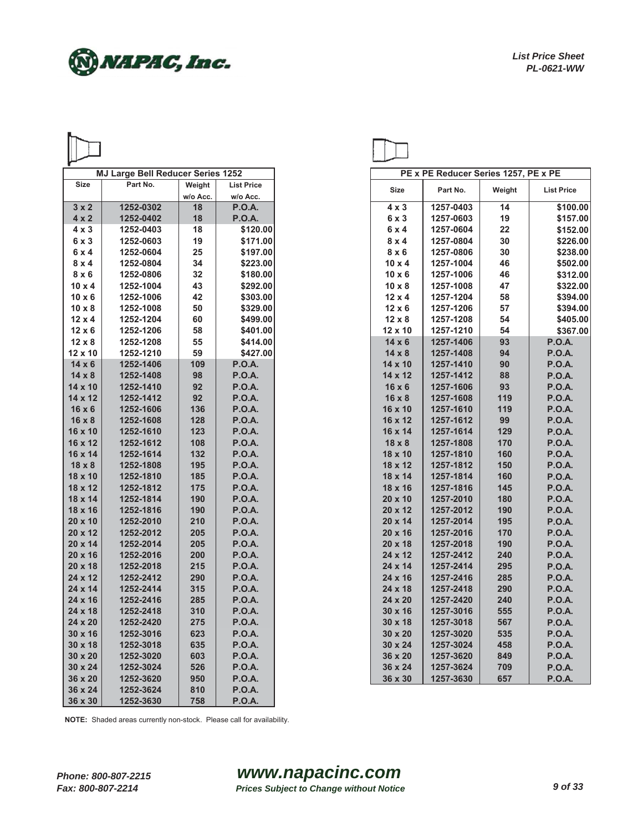

|                | <b>MJ Large Bell Reducer Series 1252</b> |          |                   |                | PE x PE Reducer Series 1257, PE x PE |        |
|----------------|------------------------------------------|----------|-------------------|----------------|--------------------------------------|--------|
| <b>Size</b>    | Part No.                                 | Weight   | <b>List Price</b> | Size           | Part No.                             | Weight |
|                |                                          | w/o Acc. | w/o Acc.          |                |                                      |        |
| $3 \times 2$   | 1252-0302                                | 18       | <b>P.O.A.</b>     | $4 \times 3$   | 1257-0403                            | 14     |
| $4 \times 2$   | 1252-0402                                | 18       | <b>P.O.A.</b>     | 6x3            | 1257-0603                            | 19     |
| $4 \times 3$   | 1252-0403                                | 18       | \$120.00          | 6x4            | 1257-0604                            | 22     |
| $6 \times 3$   | 1252-0603                                | 19       | \$171.00          | $8 \times 4$   | 1257-0804                            | 30     |
| 6x4            | 1252-0604                                | 25       | \$197.00          | $8 \times 6$   | 1257-0806                            | 30     |
| $8 \times 4$   | 1252-0804                                | 34       | \$223.00          | $10 \times 4$  | 1257-1004                            | 46     |
| $8 \times 6$   | 1252-0806                                | 32       | \$180.00          | $10 \times 6$  | 1257-1006                            | 46     |
| $10 \times 4$  | 1252-1004                                | 43       | \$292.00          | $10 \times 8$  | 1257-1008                            | 47     |
| $10 \times 6$  | 1252-1006                                | 42       | \$303.00          | $12 \times 4$  | 1257-1204                            | 58     |
| $10 \times 8$  | 1252-1008                                | 50       | \$329.00          | $12 \times 6$  | 1257-1206                            | 57     |
| $12 \times 4$  | 1252-1204                                | 60       | \$499.00          | $12 \times 8$  | 1257-1208                            | 54     |
| $12 \times 6$  | 1252-1206                                | 58       | \$401.00          | 12 x 10        | 1257-1210                            | 54     |
| $12 \times 8$  | 1252-1208                                | 55       | \$414.00          | $14 \times 6$  | 1257-1406                            | 93     |
| 12 x 10        | 1252-1210                                | 59       | \$427.00          | $14 \times 8$  | 1257-1408                            | 94     |
| $14 \times 6$  | 1252-1406                                | 109      | <b>P.O.A.</b>     | 14 x 10        | 1257-1410                            | 90     |
| $14 \times 8$  | 1252-1408                                | 98       | <b>P.O.A.</b>     | 14 x 12        | 1257-1412                            | 88     |
| 14 x 10        | 1252-1410                                | 92       | <b>P.O.A.</b>     | $16 \times 6$  | 1257-1606                            | 93     |
| 14 x 12        | 1252-1412                                | 92       | <b>P.O.A.</b>     | $16 \times 8$  | 1257-1608                            | 119    |
| $16 \times 6$  | 1252-1606                                | 136      | <b>P.O.A.</b>     | 16 x 10        | 1257-1610                            | 119    |
| $16 \times 8$  | 1252-1608                                | 128      | <b>P.O.A.</b>     | 16 x 12        | 1257-1612                            | 99     |
| 16 x 10        | 1252-1610                                | 123      | <b>P.O.A.</b>     | 16 x 14        | 1257-1614                            | 129    |
| 16 x 12        | 1252-1612                                | 108      | <b>P.O.A.</b>     | $18 \times 8$  | 1257-1808                            | 170    |
| 16 x 14        | 1252-1614                                | 132      | <b>P.O.A.</b>     | 18 x 10        | 1257-1810                            | 160    |
| $18 \times 8$  | 1252-1808                                | 195      | <b>P.O.A.</b>     | 18 x 12        | 1257-1812                            | 150    |
|                |                                          |          |                   |                |                                      |        |
| 18 x 10        | 1252-1810                                | 185      | <b>P.O.A.</b>     | 18 x 14        | 1257-1814                            | 160    |
| 18 x 12        | 1252-1812                                | 175      | <b>P.O.A.</b>     | 18 x 16        | 1257-1816                            | 145    |
| 18 x 14        | 1252-1814                                | 190      | <b>P.O.A.</b>     | $20 \times 10$ | 1257-2010                            | 180    |
| 18 x 16        | 1252-1816                                | 190      | <b>P.O.A.</b>     | 20 x 12        | 1257-2012                            | 190    |
| $20 \times 10$ | 1252-2010                                | 210      | <b>P.O.A.</b>     | 20 x 14        | 1257-2014                            | 195    |
| 20 x 12        | 1252-2012                                | 205      | <b>P.O.A.</b>     | $20 \times 16$ | 1257-2016                            | 170    |
| 20 x 14        | 1252-2014                                | 205      | <b>P.O.A.</b>     | $20 \times 18$ | 1257-2018                            | 190    |
| 20 x 16        | 1252-2016                                | 200      | <b>P.O.A.</b>     | 24 x 12        | 1257-2412                            | 240    |
| 20 x 18        | 1252-2018                                | 215      | <b>P.O.A.</b>     | 24 x 14        | 1257-2414                            | 295    |
| 24 x 12        | 1252-2412                                | 290      | <b>P.O.A.</b>     | 24 x 16        | 1257-2416                            | 285    |
| 24 x 14        | 1252-2414                                | 315      | <b>P.O.A.</b>     | 24 x 18        | 1257-2418                            | 290    |
| 24 x 16        | 1252-2416                                | 285      | <b>P.O.A.</b>     | 24 x 20        | 1257-2420                            | 240    |
| 24 x 18        | 1252-2418                                | 310      | <b>P.O.A.</b>     | $30 \times 16$ | 1257-3016                            | 555    |
| 24 x 20        | 1252-2420                                | 275      | <b>P.O.A.</b>     | 30 x 18        | 1257-3018                            | 567    |
| $30 \times 16$ | 1252-3016                                | 623      | <b>P.O.A.</b>     | 30 x 20        | 1257-3020                            | 535    |
| 30 x 18        | 1252-3018                                | 635      | <b>P.O.A.</b>     | 30 x 24        | 1257-3024                            | 458    |
| 30 x 20        | 1252-3020                                | 603      | <b>P.O.A.</b>     | 36 x 20        | 1257-3620                            | 849    |
| 30 x 24        | 1252-3024                                | 526      | <b>P.O.A.</b>     | 36 x 24        | 1257-3624                            | 709    |
| 36 x 20        | 1252-3620                                | 950      | <b>P.O.A.</b>     | 36 x 30        | 1257-3630                            | 657    |
| 36 x 24        | 1252-3624                                | 810      | <b>P.O.A.</b>     |                |                                      |        |
| 36 x 30        | 1252-3630                                | 758      | <b>P.O.A.</b>     |                |                                      |        |

|                | <b>MJ Large Bell Reducer Series 1252</b> |          |                   |
|----------------|------------------------------------------|----------|-------------------|
| Size           | Part No.                                 | Weight   | <b>List Price</b> |
|                |                                          | w/o Acc. | w/o Acc.          |
| $3 \times 2$   | 1252-0302                                | 18       | <b>P.O.A.</b>     |
| $4 \times 2$   | 1252-0402                                | 18       | <b>P.O.A.</b>     |
| $4 \times 3$   | 1252-0403                                | 18       | \$120.00          |
| 6 x 3          | 1252-0603                                | 19       | \$171.00          |
| 6x4            | 1252-0604                                | 25       | \$197.00          |
| $8 \times 4$   | 1252-0804                                | 34       | \$223.00          |
| $8 \times 6$   | 1252-0806                                | 32       | \$180.00          |
| 10 x 4         | 1252-1004                                | 43       | \$292.00          |
| 10 x 6         | 1252-1006                                | 42       | \$303.00          |
| 10 x 8         | 1252-1008                                | 50       | \$329.00          |
| 12 x 4         | 1252-1204                                | 60       | \$499.00          |
| 12 x 6         | 1252-1206                                | 58       | \$401.00          |
| $12 \times 8$  | 1252-1208                                | 55       | \$414.00          |
| 2 x 10         | 1252-1210                                | 59       | \$427.00          |
| $14 \times 6$  | 1252-1406                                | 109      | <b>P.O.A.</b>     |
| 14 x 8         | 1252-1408                                | 98       | <b>P.O.A.</b>     |
| 4 x 10         | 1252-1410                                | 92       | <b>P.O.A.</b>     |
| 4 x 12         | 1252-1412                                | 92       | <b>P.O.A.</b>     |
| 16 x 6         | 1252-1606                                | 136      | <b>P.O.A.</b>     |
| 16 x 8         | 1252-1608                                | 128      | <b>P.O.A.</b>     |
| $6 \times 10$  | 1252-1610                                | 123      | <b>P.O.A.</b>     |
| 6 x 12         | 1252-1612                                | 108      | <b>P.O.A.</b>     |
| 6 x 14         | 1252-1614                                | 132      | <b>P.O.A.</b>     |
| $18 \times 8$  | 1252-1808                                | 195      | <b>P.O.A.</b>     |
| 8 x 10         | 1252-1810                                | 185      | <b>P.O.A.</b>     |
| 8 x 12         | 1252-1812                                | 175      | <b>P.O.A.</b>     |
| 8 x 14         | 1252-1814                                | 190      | <b>P.O.A.</b>     |
| 18 x 16        | 1252-1816                                | 190      | <b>P.O.A.</b>     |
| 20 x 10        | 1252-2010                                | 210      | <b>P.O.A.</b>     |
| 20 x 12        | 1252-2012                                | 205      | <b>P.O.A.</b>     |
| $20 \times 14$ | 1252-2014                                | 205      | <b>P.O.A.</b>     |
| 20 x 16        | 1252-2016                                | 200      | <b>P.O.A.</b>     |
| 20 x 18        | 1252-2018                                | 215      | <b>P.O.A.</b>     |
| 24 x 12        | 1252-2412                                | 290      | <b>P.O.A.</b>     |
| 24 x 14        | 1252-2414                                | 315      | <b>P.O.A.</b>     |
| 24 x 16        | 1252-2416                                | 285      | <b>P.O.A.</b>     |
| 24 x 18        | 1252-2418                                | 310      | <b>P.O.A.</b>     |
| 24 x 20        | 1252-2420                                | 275      | <b>P.O.A.</b>     |
| 30 x 16        | 1252-3016                                | 623      | <b>P.O.A.</b>     |
| 30 x 18        | 1252-3018                                | 635      | <b>P.O.A.</b>     |
| 30 x 20        | 1252-3020                                | 603      | <b>P.O.A.</b>     |
| 30 x 24        | 1252-3024                                | 526      | <b>P.O.A.</b>     |
| 36 x 20        | 1252-3620                                | 950      | P.O.A.            |
|                |                                          |          |                   |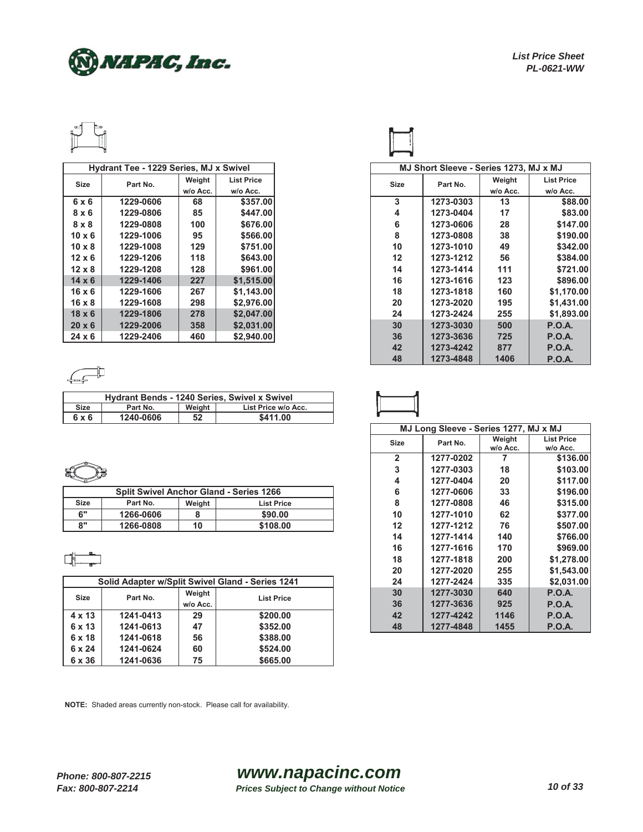

|               | Hydrant Tee - 1229 Series, MJ x Swivel |          |                   |
|---------------|----------------------------------------|----------|-------------------|
| <b>Size</b>   | Part No.                               | Weight   | <b>List Price</b> |
|               |                                        | w/o Acc. | w/o Acc.          |
| 6x6           | 1229-0606                              | 68       | \$357,00          |
| $8 \times 6$  | 1229-0806                              | 85       | \$447.00          |
| $8 \times 8$  | 1229-0808                              | 100      | \$676.00          |
| $10 \times 6$ | 1229-1006                              | 95       | \$566.00          |
| $10 \times 8$ | 1229-1008                              | 129      | \$751.00          |
| $12 \times 6$ | 1229-1206                              | 118      | \$643.00          |
| $12 \times 8$ | 1229-1208                              | 128      | \$961.00          |
| $14 \times 6$ | 1229-1406                              | 227      | \$1,515.00        |
| $16 \times 6$ | 1229-1606                              | 267      | \$1,143.00        |
| $16 \times 8$ | 1229-1608                              | 298      | \$2.976.00        |
| $18 \times 6$ | 1229-1806                              | 278      | \$2,047.00        |
| $20 \times 6$ | 1229-2006                              | 358      | \$2,031.00        |
| $24 \times 6$ | 1229-2406                              | 460      | \$2,940.00        |

## $\begin{array}{c} \hline \begin{matrix} \hline \end{matrix} \end{array}$

| <b>Hydrant Bends - 1240 Series, Swivel x Swivel</b> |           |        |                     |  |  |  |
|-----------------------------------------------------|-----------|--------|---------------------|--|--|--|
| <b>Size</b>                                         | Part No.  | Weight | List Price w/o Acc. |  |  |  |
| 6 x 6                                               | 1240-0606 | 52     | \$411.00            |  |  |  |

## 틄

| <b>Split Swivel Anchor Gland - Series 1266</b> |           |        |                   | 1277-0606 | 33        | \$196.00 |          |
|------------------------------------------------|-----------|--------|-------------------|-----------|-----------|----------|----------|
| <b>Size</b>                                    | Part No.  | Weight | <b>List Price</b> |           | 1277-0808 | 46       | \$315.00 |
| $\sim$                                         | 1266-0606 |        | \$90.00           | 10        | 1277-1010 | 62       | \$377.00 |
| $^{\circ}$                                     | 1266-0808 | 10     | \$108.00          |           | 1277-1212 | 76       | \$507.00 |

## 며

|                         |           |                   | Solid Adapter w/Split Swivel Gland - Series 1241 | 24        | 1277-2424 | 335           | \$2,03        |
|-------------------------|-----------|-------------------|--------------------------------------------------|-----------|-----------|---------------|---------------|
| <b>Size</b><br>Part No. | Weight    | <b>List Price</b> | 30                                               | 1277-3030 | 640       | <b>P.O.A.</b> |               |
|                         |           | w/o Acc.          |                                                  | 36        | 1277-3636 | 925           | <b>P.O.A.</b> |
| $4 \times 13$           | 1241-0413 | 29                | \$200.00                                         | 42        | 1277-4242 | 1146          | <b>P.O.A.</b> |
| 6 x 13                  | 1241-0613 | 47                | \$352.00                                         | 48        | 1277-4848 | 1455          | <b>P.O.A.</b> |
| $6 \times 18$           | 1241-0618 | 56                | \$388.00                                         |           |           |               |               |
| $6 \times 24$           | 1241-0624 | 60                | \$524.00                                         |           |           |               |               |
| 6 x 36                  | 1241-0636 | 75                | \$665.00                                         |           |           |               |               |

| Hydrant Tee - 1229 Series, MJ x Swivel |           |          |                   | MJ Short Sleeve - Series 1273, MJ x MJ |           |          |                   |
|----------------------------------------|-----------|----------|-------------------|----------------------------------------|-----------|----------|-------------------|
| Size                                   | Part No.  | Weight   | <b>List Price</b> | Size                                   | Part No.  | Weight   | <b>List Price</b> |
|                                        |           | w/o Acc. | w/o Acc.          |                                        |           | w/o Acc. | w/o Acc.          |
| 6x6                                    | 1229-0606 | 68       | \$357.00          | 3                                      | 1273-0303 | 13       | \$88.00           |
| $8 \times 6$                           | 1229-0806 | 85       | \$447.00          | 4                                      | 1273-0404 | 17       | \$83.00           |
| $8 \times 8$                           | 1229-0808 | 100      | \$676.00          | 6                                      | 1273-0606 | 28       | \$147.00          |
| 10 x 6                                 | 1229-1006 | 95       | \$566.00          | 8                                      | 1273-0808 | 38       | \$190.00          |
| 10 x 8                                 | 1229-1008 | 129      | \$751.00          | 10                                     | 1273-1010 | 49       | \$342.00          |
| 12 x 6                                 | 1229-1206 | 118      | \$643.00          | 12                                     | 1273-1212 | 56       | \$384.00          |
| $12 \times 8$                          | 1229-1208 | 128      | \$961.00          | 14                                     | 1273-1414 | 111      | \$721.00          |
| $14 \times 6$                          | 1229-1406 | 227      | \$1,515.00        | 16                                     | 1273-1616 | 123      | \$896.00          |
| 16 x 6                                 | 1229-1606 | 267      | \$1,143.00        | 18                                     | 1273-1818 | 160      | \$1,170.00        |
| 16 x 8                                 | 1229-1608 | 298      | \$2,976.00        | 20                                     | 1273-2020 | 195      | \$1,431.00        |
| $18 \times 6$                          | 1229-1806 | 278      | \$2,047.00        | 24                                     | 1273-2424 | 255      | \$1,893.00        |
| 20 x 6                                 | 1229-2006 | 358      | \$2,031.00        | 30                                     | 1273-3030 | 500      | <b>P.O.A.</b>     |
| 24 x 6                                 | 1229-2406 | 460      | \$2,940.00        | 36                                     | 1273-3636 | 725      | P.O.A.            |
|                                        |           |          |                   | 42                                     | 1273-4242 | 877      | <b>P.O.A.</b>     |
|                                        |           |          |                   | 48                                     | 1273-4848 | 1406     | <b>P.O.A.</b>     |



|          |                              |              | MJ Long Sleeve - Series 1277, MJ x MJ |          |                   |
|----------|------------------------------|--------------|---------------------------------------|----------|-------------------|
|          |                              | <b>Size</b>  | Part No.                              | Weight   | <b>List Price</b> |
|          |                              |              |                                       | w/o Acc. | w/o Acc.          |
|          |                              | $\mathbf{2}$ | 1277-0202                             |          | \$136.00          |
|          |                              | 3            | 1277-0303                             | 18       | \$103.00          |
|          |                              | 4            | 1277-0404                             | 20       | \$117.00          |
|          | hor Gland - Series 1266      | 6            | 1277-0606                             | 33       | \$196.00          |
| Weight   | <b>List Price</b>            | 8            | 1277-0808                             | 46       | \$315.00          |
| 8        | \$90.00                      | 10           | 1277-1010                             | 62       | \$377.00          |
| 10       | \$108.00                     | 12           | 1277-1212                             | 76       | \$507.00          |
|          |                              | 14           | 1277-1414                             | 140      | \$766.00          |
|          |                              | 16           | 1277-1616                             | 170      | \$969.00          |
|          |                              | 18           | 1277-1818                             | 200      | \$1,278.00        |
|          |                              | 20           | 1277-2020                             | 255      | \$1,543.00        |
|          | t Swivel Gland - Series 1241 | 24           | 1277-2424                             | 335      | \$2,031.00        |
| Weight   | <b>List Price</b>            | 30           | 1277-3030                             | 640      | <b>P.O.A.</b>     |
| w/o Acc. |                              | 36           | 1277-3636                             | 925      | <b>P.O.A.</b>     |
| 29       | \$200.00                     | 42           | 1277-4242                             | 1146     | <b>P.O.A.</b>     |
| 47       | \$352.00                     | 48           | 1277-4848                             | 1455     | <b>P.O.A.</b>     |
|          |                              |              |                                       |          |                   |